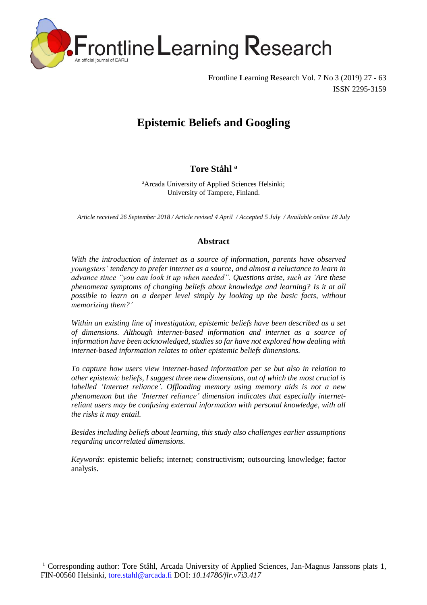

**F**rontline **L**earning **R**esearch Vol. 7 No 3 (2019) 27 - 63 ISSN 2295-3159

# **Epistemic Beliefs and Googling**

# **Tore Ståhl <sup>a</sup>**

<sup>a</sup>Arcada University of Applied Sciences Helsinki; University of Tampere, Finland.

*Article received 26 September 2018 / Article revised 4 April / Accepted 5 July / Available online 18 July*

# **Abstract**

*With the introduction of internet as a source of information, parents have observed youngsters' tendency to prefer internet as a source, and almost a reluctance to learn in advance since "you can look it up when needed". Questions arise, such as 'Are these phenomena symptoms of changing beliefs about knowledge and learning? Is it at all possible to learn on a deeper level simply by looking up the basic facts, without memorizing them?'*

*Within an existing line of investigation, epistemic beliefs have been described as a set of dimensions. Although internet-based information and internet as a source of information have been acknowledged, studies so far have not explored how dealing with internet-based information relates to other epistemic beliefs dimensions.*

*To capture how users view internet-based information per se but also in relation to other epistemic beliefs, I suggest three new dimensions, out of which the most crucial is labelled 'Internet reliance'. Offloading memory using memory aids is not a new phenomenon but the 'Internet reliance' dimension indicates that especially internetreliant users may be confusing external information with personal knowledge, with all the risks it may entail.*

*Besides including beliefs about learning, this study also challenges earlier assumptions regarding uncorrelated dimensions.*

*Keywords*: epistemic beliefs; internet; constructivism; outsourcing knowledge; factor analysis.

<sup>&</sup>lt;sup>1</sup> Corresponding author: Tore Ståhl, Arcada University of Applied Sciences, Jan-Magnus Janssons plats 1, FIN-00560 Helsinki, [tore.stahl@arcada.fi](mailto:tore.stahl@arcada.fi) DOI: *10.14786/flr.v7i3.417*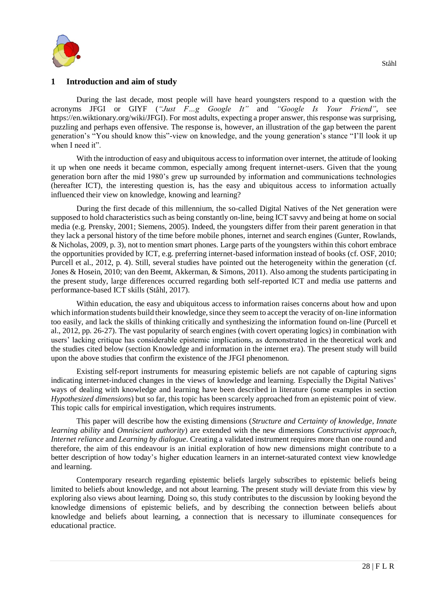

# **1 Introduction and aim of study**

During the last decade, most people will have heard youngsters respond to a question with the acronyms JFGI or GIYF (*"Just F…g Google It"* and *"Google Is Your Friend"*, see https://en.wiktionary.org/wiki/JFGI). For most adults, expecting a proper answer, this response was surprising, puzzling and perhaps even offensive. The response is, however, an illustration of the gap between the parent generation's "You should know this"-view on knowledge, and the young generation's stance "I'll look it up when I need it".

With the introduction of easy and ubiquitous access to information over internet, the attitude of looking it up when one needs it became common, especially among frequent internet-users. Given that the young generation born after the mid 1980's grew up surrounded by information and communications technologies (hereafter ICT), the interesting question is, has the easy and ubiquitous access to information actually influenced their view on knowledge, knowing and learning?

During the first decade of this millennium, the so-called Digital Natives of the Net generation were supposed to hold characteristics such as being constantly on-line, being ICT savvy and being at home on social media (e.g. Prensky, 2001; Siemens, 2005). Indeed, the youngsters differ from their parent generation in that they lack a personal history of the time before mobile phones, internet and search engines (Gunter, Rowlands, & Nicholas, 2009, p. 3), not to mention smart phones. Large parts of the youngsters within this cohort embrace the opportunities provided by ICT, e.g. preferring internet-based information instead of books (cf. OSF, 2010; Purcell et al., 2012, p. 4). Still, several studies have pointed out the heterogeneity within the generation (cf. Jones & Hosein, 2010; van den Beemt, Akkerman, & Simons, 2011). Also among the students participating in the present study, large differences occurred regarding both self-reported ICT and media use patterns and performance-based ICT skills (Ståhl, 2017).

Within education, the easy and ubiquitous access to information raises concerns about how and upon which information students build their knowledge, since they seem to accept the veracity of on-line information too easily, and lack the skills of thinking critically and synthesizing the information found on-line (Purcell et al., 2012, pp. 26-27). The vast popularity of search engines (with covert operating logics) in combination with users' lacking critique has considerable epistemic implications, as demonstrated in the theoretical work and the studies cited below (section [Knowledge and information in the internet era\)](#page-2-0). The present study will build upon the above studies that confirm the existence of the JFGI phenomenon.

Existing self-report instruments for measuring epistemic beliefs are not capable of capturing signs indicating internet-induced changes in the views of knowledge and learning. Especially the Digital Natives' ways of dealing with knowledge and learning have been described in literature (some examples in section *[Hypothesized dimensions](#page-13-0)*) but so far, this topic has been scarcely approached from an epistemic point of view. This topic calls for empirical investigation, which requires instruments.

This paper will describe how the existing dimensions (*Structure and Certainty of knowledge, Innate learning ability* and *Omniscient authority*) are extended with the new dimensions *Constructivist approach, Internet reliance* and *Learning by dialogue*. Creating a validated instrument requires more than one round and therefore, the aim of this endeavour is an initial exploration of how new dimensions might contribute to a better description of how today's higher education learners in an internet-saturated context view knowledge and learning.

Contemporary research regarding epistemic beliefs largely subscribes to epistemic beliefs being limited to beliefs about knowledge, and not about learning. The present study will deviate from this view by exploring also views about learning. Doing so, this study contributes to the discussion by looking beyond the knowledge dimensions of epistemic beliefs, and by describing the connection between beliefs about knowledge and beliefs about learning, a connection that is necessary to illuminate consequences for educational practice.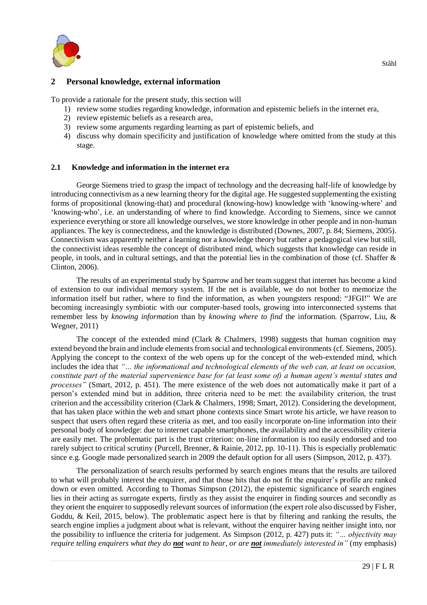

# <span id="page-2-1"></span>**2 Personal knowledge, external information**

To provide a rationale for the present study, this section will

- 1) review some studies regarding knowledge, information and epistemic beliefs in the internet era,
- 2) review epistemic beliefs as a research area,
- 3) review some arguments regarding learning as part of epistemic beliefs, and
- 4) discuss why domain specificity and justification of knowledge where omitted from the study at this stage.

#### <span id="page-2-0"></span>**2.1 Knowledge and information in the internet era**

George Siemens tried to grasp the impact of technology and the decreasing half-life of knowledge by introducing connectivism as a new learning theory for the digital age. He suggested supplementing the existing forms of propositional (knowing-that) and procedural (knowing-how) knowledge with 'knowing-where' and 'knowing-who', i.e. an understanding of where to find knowledge. According to Siemens, since we cannot experience everything or store all knowledge ourselves, we store knowledge in other people and in non-human appliances. The key is connectedness, and the knowledge is distributed (Downes, 2007, p. 84; Siemens, 2005). Connectivism was apparently neither a learning nor a knowledge theory but rather a pedagogical view but still, the connectivist ideas resemble the concept of distributed mind, which suggests that knowledge can reside in people, in tools, and in cultural settings, and that the potential lies in the combination of those (cf. Shaffer & Clinton, 2006).

The results of an experimental study by Sparrow and her team suggest that internet has become a kind of extension to our individual memory system. If the net is available, we do not bother to memorize the information itself but rather, where to find the information, as when youngsters respond: "JFGI!" We are becoming increasingly symbiotic with our computer-based tools, growing into interconnected systems that remember less by *knowing information* than by *knowing where to find* the information. (Sparrow, Liu, & Wegner, 2011)

The concept of the extended mind (Clark & Chalmers, 1998) suggests that human cognition may extend beyond the brain and include elements from social and technological environments (cf. Siemens, 2005). Applying the concept to the context of the web opens up for the concept of the web-extended mind, which includes the idea that *"… the informational and technological elements of the web can, at least on occasion, constitute part of the material supervenience base for (at least some of) a human agent's mental states and processes"* (Smart, 2012, p. 451). The mere existence of the web does not automatically make it part of a person's extended mind but in addition, three criteria need to be met: the availability criterion, the trust criterion and the accessibility criterion (Clark & Chalmers, 1998; Smart, 2012). Considering the development, that has taken place within the web and smart phone contexts since Smart wrote his article, we have reason to suspect that users often regard these criteria as met, and too easily incorporate on-line information into their personal body of knowledge: due to internet capable smartphones, the availability and the accessibility criteria are easily met. The problematic part is the trust criterion: on-line information is too easily endorsed and too rarely subject to critical scrutiny (Purcell, Brenner, & Rainie, 2012, pp. 10-11). This is especially problematic since e.g. Google made personalized search in 2009 the default option for all users (Simpson, 2012, p. 437).

The personalization of search results performed by search engines means that the results are tailored to what will probably interest the enquirer, and that those hits that do not fit the enquirer's profile are ranked down or even omitted. According to Thomas Simpson (2012), the epistemic significance of search engines lies in their acting as surrogate experts, firstly as they assist the enquirer in finding sources and secondly as they orient the enquirer to supposedly relevant sources of information (the expert role also discussed by Fisher, Goddu, & Keil, 2015, below). The problematic aspect here is that by filtering and ranking the results, the search engine implies a judgment about what is relevant, without the enquirer having neither insight into, nor the possibility to influence the criteria for judgement. As Simpson (2012, p. 427) puts it: *"… objectivity may require telling enquirers what they do not want to hear, or are not immediately interested in"* (my emphasis)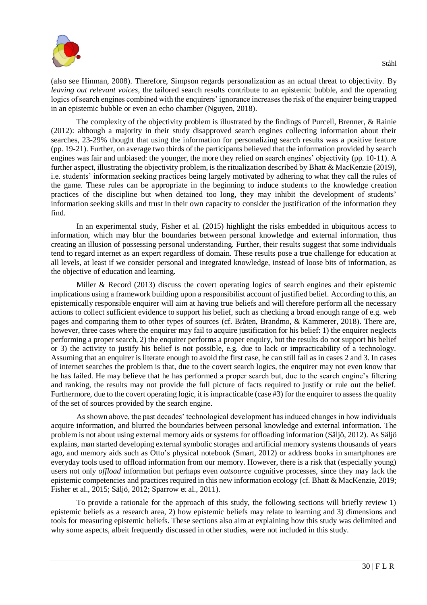

(also see Hinman, 2008). Therefore, Simpson regards personalization as an actual threat to objectivity. By *leaving out relevant voices*, the tailored search results contribute to an epistemic bubble, and the operating logics of search engines combined with the enquirers' ignorance increases the risk of the enquirer being trapped in an epistemic bubble or even an echo chamber (Nguyen, 2018).

The complexity of the objectivity problem is illustrated by the findings of Purcell, Brenner, & Rainie (2012): although a majority in their study disapproved search engines collecting information about their searches, 23-29% thought that using the information for personalizing search results was a positive feature (pp. 19-21). Further, on average two thirds of the participants believed that the information provided by search engines was fair and unbiased: the younger, the more they relied on search engines' objectivity (pp. 10-11). A further aspect, illustrating the objectivity problem, is the ritualization described by Bhatt & MacKenzie (2019), i.e. students' information seeking practices being largely motivated by adhering to what they call the rules of the game. These rules can be appropriate in the beginning to induce students to the knowledge creation practices of the discipline but when detained too long, they may inhibit the development of students' information seeking skills and trust in their own capacity to consider the justification of the information they find.

In an experimental study, Fisher et al. (2015) highlight the risks embedded in ubiquitous access to information, which may blur the boundaries between personal knowledge and external information, thus creating an illusion of possessing personal understanding. Further, their results suggest that some individuals tend to regard internet as an expert regardless of domain. These results pose a true challenge for education at all levels, at least if we consider personal and integrated knowledge, instead of loose bits of information, as the objective of education and learning.

Miller & Record (2013) discuss the covert operating logics of search engines and their epistemic implications using a framework building upon a responsibilist account of justified belief. According to this, an epistemically responsible enquirer will aim at having true beliefs and will therefore perform all the necessary actions to collect sufficient evidence to support his belief, such as checking a broad enough range of e.g. web pages and comparing them to other types of sources (cf. Bråten, Brandmo, & Kammerer, 2018). There are, however, three cases where the enquirer may fail to acquire justification for his belief: 1) the enquirer neglects performing a proper search, 2) the enquirer performs a proper enquiry, but the results do not support his belief or 3) the activity to justify his belief is not possible, e.g. due to lack or impracticability of a technology. Assuming that an enquirer is literate enough to avoid the first case, he can still fail as in cases 2 and 3. In cases of internet searches the problem is that, due to the covert search logics, the enquirer may not even know that he has failed. He may believe that he has performed a proper search but, due to the search engine's filtering and ranking, the results may not provide the full picture of facts required to justify or rule out the belief. Furthermore, due to the covert operating logic, it is impracticable (case #3) for the enquirer to assess the quality of the set of sources provided by the search engine.

As shown above, the past decades' technological development has induced changes in how individuals acquire information, and blurred the boundaries between personal knowledge and external information. The problem is not about using external memory aids or systems for offloading information (Säljö, 2012). As Säljö explains, man started developing external symbolic storages and artificial memory systems thousands of years ago, and memory aids such as Otto's physical notebook (Smart, 2012) or address books in smartphones are everyday tools used to offload information from our memory. However, there is a risk that (especially young) users not only *offload* information but perhaps even *outsource* cognitive processes, since they may lack the epistemic competencies and practices required in this new information ecology (cf. Bhatt & MacKenzie, 2019; Fisher et al., 2015; Säljö, 2012; Sparrow et al., 2011).

To provide a rationale for the approach of this study, the following sections will briefly review 1) epistemic beliefs as a research area, 2) how epistemic beliefs may relate to learning and 3) dimensions and tools for measuring epistemic beliefs. These sections also aim at explaining how this study was delimited and why some aspects, albeit frequently discussed in other studies, were not included in this study.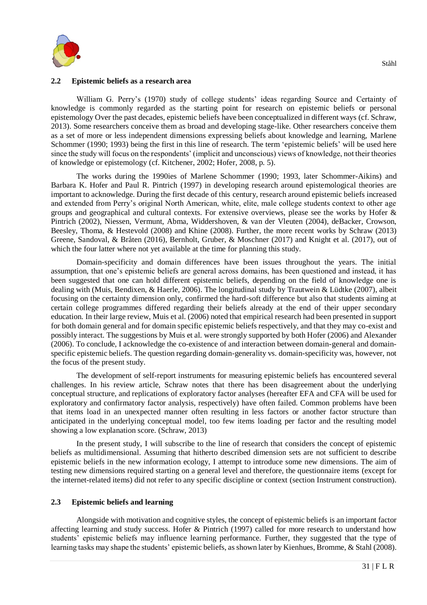

# **2.2 Epistemic beliefs as a research area**

William G. Perry's (1970) study of college students' ideas regarding Source and Certainty of knowledge is commonly regarded as the starting point for research on epistemic beliefs or personal epistemology Over the past decades, epistemic beliefs have been conceptualized in different ways (cf. Schraw, 2013). Some researchers conceive them as broad and developing stage-like. Other researchers conceive them as a set of more or less independent dimensions expressing beliefs about knowledge and learning, Marlene Schommer (1990; 1993) being the first in this line of research. The term 'epistemic beliefs' will be used here since the study will focus on the respondents' (implicit and unconscious) views of knowledge, not their theories of knowledge or epistemology (cf. Kitchener, 2002; Hofer, 2008, p. 5).

The works during the 1990ies of Marlene Schommer (1990; 1993, later Schommer-Aikins) and Barbara K. Hofer and Paul R. Pintrich (1997) in developing research around epistemological theories are important to acknowledge. During the first decade of this century, research around epistemic beliefs increased and extended from Perry's original North American, white, elite, male college students context to other age groups and geographical and cultural contexts. For extensive overviews, please see the works by Hofer & Pintrich (2002), Niessen, Vermunt, Abma, Widdershoven, & van der Vleuten (2004), deBacker, Crowson, Beesley, Thoma, & Hestevold (2008) and Khine (2008). Further, the more recent works by Schraw (2013) Greene, Sandoval, & Bråten (2016), Bernholt, Gruber, & Moschner (2017) and Knight et al. (2017), out of which the four latter where not yet available at the time for planning this study.

Domain-specificity and domain differences have been issues throughout the years. The initial assumption, that one's epistemic beliefs are general across domains, has been questioned and instead, it has been suggested that one can hold different epistemic beliefs, depending on the field of knowledge one is dealing with (Muis, Bendixen, & Haerle, 2006). The longitudinal study by Trautwein & Lüdtke (2007), albeit focusing on the certainty dimension only, confirmed the hard-soft difference but also that students aiming at certain college programmes differed regarding their beliefs already at the end of their upper secondary education. In their large review, Muis et al. (2006) noted that empirical research had been presented in support for both domain general and for domain specific epistemic beliefs respectively, and that they may co-exist and possibly interact. The suggestions by Muis et al. were strongly supported by both Hofer (2006) and Alexander (2006). To conclude, I acknowledge the co-existence of and interaction between domain-general and domainspecific epistemic beliefs. The question regarding domain-generality vs. domain-specificity was, however, not the focus of the present study.

The development of self-report instruments for measuring epistemic beliefs has encountered several challenges. In his review article, Schraw notes that there has been disagreement about the underlying conceptual structure, and replications of exploratory factor analyses (hereafter EFA and CFA will be used for exploratory and confirmatory factor analysis, respectively) have often failed. Common problems have been that items load in an unexpected manner often resulting in less factors or another factor structure than anticipated in the underlying conceptual model, too few items loading per factor and the resulting model showing a low explanation score. (Schraw, 2013)

In the present study, I will subscribe to the line of research that considers the concept of epistemic beliefs as multidimensional. Assuming that hitherto described dimension sets are not sufficient to describe epistemic beliefs in the new information ecology, I attempt to introduce some new dimensions. The aim of testing new dimensions required starting on a general level and therefore, the questionnaire items (except for the internet-related items) did not refer to any specific discipline or context (section [Instrument construction\)](#page-9-0).

# <span id="page-4-0"></span>**2.3 Epistemic beliefs and learning**

Alongside with motivation and cognitive styles, the concept of epistemic beliefs is an important factor affecting learning and study success. Hofer & Pintrich (1997) called for more research to understand how students' epistemic beliefs may influence learning performance. Further, they suggested that the type of learning tasks may shape the students' epistemic beliefs, as shown later by Kienhues, Bromme, & Stahl (2008).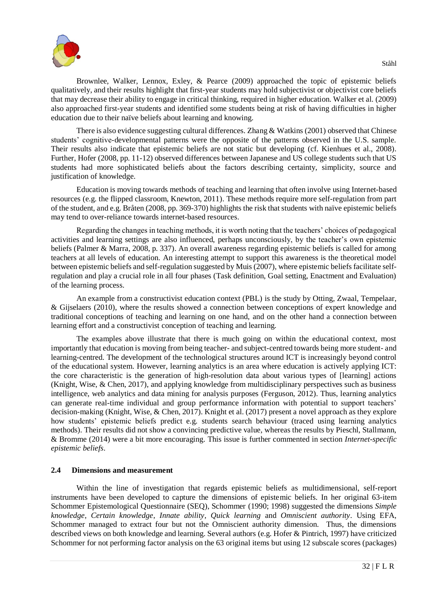

Brownlee, Walker, Lennox, Exley, & Pearce (2009) approached the topic of epistemic beliefs qualitatively, and their results highlight that first-year students may hold subjectivist or objectivist core beliefs that may decrease their ability to engage in critical thinking, required in higher education. Walker et al. (2009) also approached first-year students and identified some students being at risk of having difficulties in higher education due to their naïve beliefs about learning and knowing.

There is also evidence suggesting cultural differences. Zhang  $&$  Watkins (2001) observed that Chinese students' cognitive-developmental patterns were the opposite of the patterns observed in the U.S. sample. Their results also indicate that epistemic beliefs are not static but developing (cf. Kienhues et al., 2008). Further, Hofer (2008, pp. 11-12) observed differences between Japanese and US college students such that US students had more sophisticated beliefs about the factors describing certainty, simplicity, source and justification of knowledge.

Education is moving towards methods of teaching and learning that often involve using Internet-based resources (e.g. the flipped classroom, Knewton, 2011). These methods require more self-regulation from part of the student, and e.g. Bråten (2008, pp. 369-370) highlights the risk that students with naïve epistemic beliefs may tend to over-reliance towards internet-based resources.

Regarding the changes in teaching methods, it is worth noting that the teachers' choices of pedagogical activities and learning settings are also influenced, perhaps unconsciously, by the teacher's own epistemic beliefs (Palmer & Marra, 2008, p. 337). An overall awareness regarding epistemic beliefs is called for among teachers at all levels of education. An interesting attempt to support this awareness is the theoretical model between epistemic beliefs and self-regulation suggested by Muis (2007), where epistemic beliefs facilitate selfregulation and play a crucial role in all four phases (Task definition, Goal setting, Enactment and Evaluation) of the learning process.

An example from a constructivist education context (PBL) is the study by Otting, Zwaal, Tempelaar, & Gijselaers (2010), where the results showed a connection between conceptions of expert knowledge and traditional conceptions of teaching and learning on one hand, and on the other hand a connection between learning effort and a constructivist conception of teaching and learning.

The examples above illustrate that there is much going on within the educational context, most importantly that education is moving from being teacher- and subject-centred towards being more student- and learning-centred. The development of the technological structures around ICT is increasingly beyond control of the educational system. However, learning analytics is an area where education is actively applying ICT: the core characteristic is the generation of high-resolution data about various types of [learning] actions (Knight, Wise, & Chen, 2017), and applying knowledge from multidisciplinary perspectives such as business intelligence, web analytics and data mining for analysis purposes (Ferguson, 2012). Thus, learning analytics can generate real-time individual and group performance information with potential to support teachers' decision-making (Knight, Wise, & Chen, 2017). Knight et al. (2017) present a novel approach as they explore how students' epistemic beliefs predict e.g. students search behaviour (traced using learning analytics methods). Their results did not show a convincing predictive value, whereas the results by Pieschl, Stallmann, & Bromme (2014) were a bit more encouraging. This issue is further commented in section *[Internet-specific](#page-6-0)  [epistemic beliefs](#page-6-0)*.

#### **2.4 Dimensions and measurement**

Within the line of investigation that regards epistemic beliefs as multidimensional, self-report instruments have been developed to capture the dimensions of epistemic beliefs. In her original 63-item Schommer Epistemological Questionnaire (SEQ), Schommer (1990; 1998) suggested the dimensions *Simple knowledge*, *Certain knowledge*, *Innate ability, Quick learning* and *Omniscient authority*. Using EFA, Schommer managed to extract four but not the Omniscient authority dimension. Thus, the dimensions described views on both knowledge and learning. Several authors (e.g. Hofer & Pintrich, 1997) have criticized Schommer for not performing factor analysis on the 63 original items but using 12 subscale scores (packages)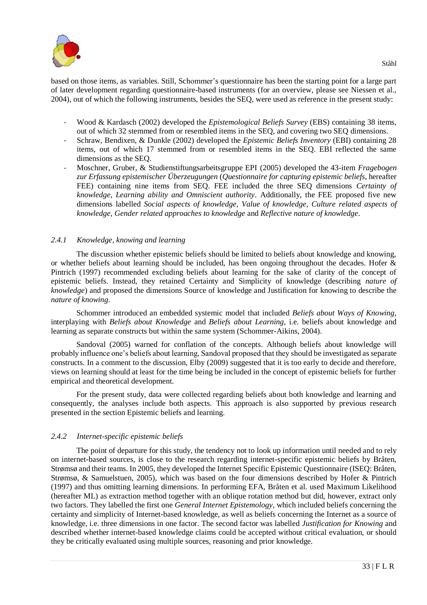

based on those items, as variables. Still, Schommer's questionnaire has been the starting point for a large part of later development regarding questionnaire-based instruments (for an overview, please see Niessen et al., 2004), out of which the following instruments, besides the SEQ, were used as reference in the present study:

- Wood & Kardasch (2002) developed the *Epistemological Beliefs Survey* (EBS) containing 38 items, out of which 32 stemmed from or resembled items in the SEQ, and covering two SEQ dimensions.
- Schraw, Bendixen, & Dunkle (2002) developed the *Epistemic Beliefs Inventory* (EBI) containing 28 items, out of which 17 stemmed from or resembled items in the SEQ. EBI reflected the same dimensions as the SEQ.
- Moschner, Gruber, & Studienstiftungsarbeitsgruppe EPI (2005) developed the 43-item *Fragebogen zur Erfassung epistemischer Überzeugungen* (*Questionnaire for capturing epistemic beliefs*, hereafter FEE) containing nine items from SEQ. FEE included the three SEQ dimensions *Certainty of knowledge, Learning ability and Omniscient authority*. Additionally, the FEE proposed five new dimensions labelled *Social aspects of knowledge, Value of knowledge, Culture related aspects of knowledge, Gender related approaches to knowledge* and *Reflective nature of knowledge*.

#### *2.4.1 Knowledge, knowing and learning*

The discussion whether epistemic beliefs should be limited to beliefs about knowledge and knowing, or whether beliefs about learning should be included, has been ongoing throughout the decades. Hofer & Pintrich (1997) recommended excluding beliefs about learning for the sake of clarity of the concept of epistemic beliefs. Instead, they retained Certainty and Simplicity of knowledge (describing *nature of knowledge*) and proposed the dimensions Source of knowledge and Justification for knowing to describe the *nature of knowing*.

Schommer introduced an embedded systemic model that included *Beliefs about Ways of Knowing*, interplaying with *Beliefs about Knowledge* and *Beliefs about Learning*, i.e. beliefs about knowledge and learning as separate constructs but within the same system (Schommer-Aikins, 2004).

Sandoval (2005) warned for conflation of the concepts. Although beliefs about knowledge will probably influence one's beliefs about learning, Sandoval proposed that they should be investigated as separate constructs. In a comment to the discussion, Elby (2009) suggested that it is too early to decide and therefore, views on learning should at least for the time being be included in the concept of epistemic beliefs for further empirical and theoretical development.

For the present study, data were collected regarding beliefs about both knowledge and learning and consequently, the analyses include both aspects. This approach is also supported by previous research presented in the section [Epistemic beliefs and learning.](#page-4-0)

#### <span id="page-6-0"></span>*2.4.2 Internet-specific epistemic beliefs*

The point of departure for this study, the tendency not to look up information until needed and to rely on internet-based sources, is close to the research regarding internet-specific epistemic beliefs by Bråten, Strømsø and their teams. In 2005, they developed the Internet Specific Epistemic Questionnaire (ISEQ: Bråten, Strømsø, & Samuelstuen, 2005), which was based on the four dimensions described by Hofer & Pintrich (1997) and thus omitting learning dimensions. In performing EFA, Bråten et al. used Maximum Likelihood (hereafter ML) as extraction method together with an oblique rotation method but did, however, extract only two factors. They labelled the first one *General Internet Epistemology*, which included beliefs concerning the certainty and simplicity of Internet-based knowledge, as well as beliefs concerning the Internet as a source of knowledge, i.e. three dimensions in one factor. The second factor was labelled *Justification for Knowing* and described whether internet-based knowledge claims could be accepted without critical evaluation, or should they be critically evaluated using multiple sources, reasoning and prior knowledge.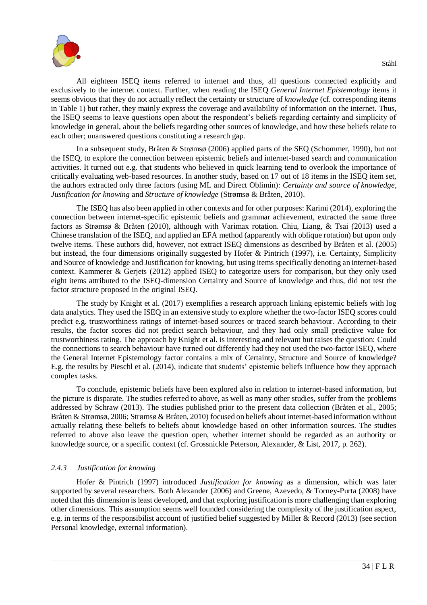

All eighteen ISEQ items referred to internet and thus, all questions connected explicitly and exclusively to the internet context. Further, when reading the ISEQ *General Internet Epistemology* items it seems obvious that they do not actually reflect the certainty or structure of *knowledge* (cf. corresponding items in Table 1) but rather, they mainly express the coverage and availability of information on the internet. Thus, the ISEQ seems to leave questions open about the respondent's beliefs regarding certainty and simplicity of knowledge in general, about the beliefs regarding other sources of knowledge, and how these beliefs relate to each other; unanswered questions constituting a research gap.

In a subsequent study, Bråten & Strømsø (2006) applied parts of the SEQ (Schommer, 1990), but not the ISEQ, to explore the connection between epistemic beliefs and internet-based search and communication activities. It turned out e.g. that students who believed in quick learning tend to overlook the importance of critically evaluating web-based resources. In another study, based on 17 out of 18 items in the ISEQ item set, the authors extracted only three factors (using ML and Direct Oblimin): *Certainty and source of knowledge*, *Justification for knowing* and *Structure of knowledge* (Strømsø & Bråten, 2010).

The ISEQ has also been applied in other contexts and for other purposes: Karimi (2014), exploring the connection between internet-specific epistemic beliefs and grammar achievement, extracted the same three factors as Strømsø & Bråten (2010), although with Varimax rotation. Chiu, Liang, & Tsai (2013) used a Chinese translation of the ISEQ, and applied an EFA method (apparently with oblique rotation) but upon only twelve items. These authors did, however, not extract ISEQ dimensions as described by Bråten et al. (2005) but instead, the four dimensions originally suggested by Hofer & Pintrich (1997), i.e. Certainty, Simplicity and Source of knowledge and Justification for knowing, but using items specifically denoting an internet-based context. Kammerer & Gerjets (2012) applied ISEQ to categorize users for comparison, but they only used eight items attributed to the ISEQ-dimension Certainty and Source of knowledge and thus, did not test the factor structure proposed in the original ISEQ.

The study by Knight et al. (2017) exemplifies a research approach linking epistemic beliefs with log data analytics. They used the ISEQ in an extensive study to explore whether the two-factor ISEQ scores could predict e.g. trustworthiness ratings of internet-based sources or traced search behaviour. According to their results, the factor scores did not predict search behaviour, and they had only small predictive value for trustworthiness rating. The approach by Knight et al. is interesting and relevant but raises the question: Could the connections to search behaviour have turned out differently had they not used the two-factor ISEQ, where the General Internet Epistemology factor contains a mix of Certainty, Structure and Source of knowledge? E.g. the results by Pieschl et al. (2014), indicate that students' epistemic beliefs influence how they approach complex tasks.

To conclude, epistemic beliefs have been explored also in relation to internet-based information, but the picture is disparate. The studies referred to above, as well as many other studies, suffer from the problems addressed by Schraw (2013). The studies published prior to the present data collection (Bråten et al., 2005; Bråten & Strømsø, 2006; Strømsø & Bråten, 2010) focused on beliefs about internet-based information without actually relating these beliefs to beliefs about knowledge based on other information sources. The studies referred to above also leave the question open, whether internet should be regarded as an authority or knowledge source, or a specific context (cf. Grossnickle Peterson, Alexander, & List, 2017, p. 262).

# <span id="page-7-0"></span>*2.4.3 Justification for knowing*

Hofer & Pintrich (1997) introduced *Justification for knowing* as a dimension, which was later supported by several researchers. Both Alexander (2006) and Greene, Azevedo, & Torney-Purta (2008) have noted that this dimension is least developed, and that exploring justification is more challenging than exploring other dimensions. This assumption seems well founded considering the complexity of the justification aspect, e.g. in terms of the responsibilist account of justified belief suggested by Miller & Record (2013) (see section [Personal knowledge, external information\)](#page-2-1).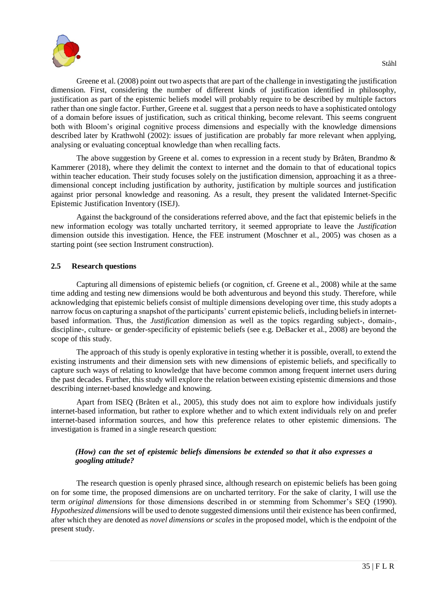

Greene et al. (2008) point out two aspects that are part of the challenge in investigating the justification dimension. First, considering the number of different kinds of justification identified in philosophy, justification as part of the epistemic beliefs model will probably require to be described by multiple factors rather than one single factor. Further, Greene et al. suggest that a person needs to have a sophisticated ontology of a domain before issues of justification, such as critical thinking, become relevant. This seems congruent both with Bloom's original cognitive process dimensions and especially with the knowledge dimensions described later by Krathwohl (2002): issues of justification are probably far more relevant when applying, analysing or evaluating conceptual knowledge than when recalling facts.

The above suggestion by Greene et al. comes to expression in a recent study by Bråten, Brandmo  $\&$ Kammerer (2018), where they delimit the context to internet and the domain to that of educational topics within teacher education. Their study focuses solely on the justification dimension, approaching it as a threedimensional concept including justification by authority, justification by multiple sources and justification against prior personal knowledge and reasoning. As a result, they present the validated Internet-Specific Epistemic Justification Inventory (ISEJ).

Against the background of the considerations referred above, and the fact that epistemic beliefs in the new information ecology was totally uncharted territory, it seemed appropriate to leave the *Justification* dimension outside this investigation. Hence, the FEE instrument (Moschner et al., 2005) was chosen as a starting point (see section [Instrument construction\)](#page-9-0).

# **2.5 Research questions**

Capturing all dimensions of epistemic beliefs (or cognition, cf. Greene et al., 2008) while at the same time adding and testing new dimensions would be both adventurous and beyond this study. Therefore, while acknowledging that epistemic beliefs consist of multiple dimensions developing over time, this study adopts a narrow focus on capturing a snapshot of the participants' current epistemic beliefs, including beliefs in internetbased information. Thus, the *Justification* dimension as well as the topics regarding subject-, domain-, discipline-, culture- or gender-specificity of epistemic beliefs (see e.g. DeBacker et al., 2008) are beyond the scope of this study.

The approach of this study is openly explorative in testing whether it is possible, overall, to extend the existing instruments and their dimension sets with new dimensions of epistemic beliefs, and specifically to capture such ways of relating to knowledge that have become common among frequent internet users during the past decades. Further, this study will explore the relation between existing epistemic dimensions and those describing internet-based knowledge and knowing.

Apart from ISEQ (Bråten et al., 2005), this study does not aim to explore how individuals justify internet-based information, but rather to explore whether and to which extent individuals rely on and prefer internet-based information sources, and how this preference relates to other epistemic dimensions. The investigation is framed in a single research question:

# *(How) can the set of epistemic beliefs dimensions be extended so that it also expresses a googling attitude?*

The research question is openly phrased since, although research on epistemic beliefs has been going on for some time, the proposed dimensions are on uncharted territory. For the sake of clarity, I will use the term *original dimensions* for those dimensions described in or stemming from Schommer's SEQ (1990). *Hypothesized dimensions* will be used to denote suggested dimensions until their existence has been confirmed, after which they are denoted as *novel dimensions or scales* in the proposed model, which is the endpoint of the present study.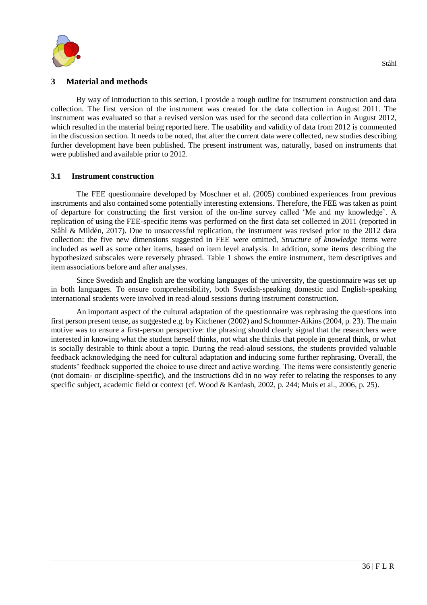

# **3 Material and methods**

By way of introduction to this section, I provide a rough outline for instrument construction and data collection. The first version of the instrument was created for the data collection in August 2011. The instrument was evaluated so that a revised version was used for the second data collection in August 2012, which resulted in the material being reported here. The usability and validity of data from 2012 is commented in the discussion section. It needs to be noted, that after the current data were collected, new studies describing further development have been published. The present instrument was, naturally, based on instruments that were published and available prior to 2012.

# <span id="page-9-0"></span>**3.1 Instrument construction**

The FEE questionnaire developed by Moschner et al. (2005) combined experiences from previous instruments and also contained some potentially interesting extensions. Therefore, the FEE was taken as point of departure for constructing the first version of the on-line survey called 'Me and my knowledge'. A replication of using the FEE-specific items was performed on the first data set collected in 2011 (reported in Ståhl & Mildén, 2017). Due to unsuccessful replication, the instrument was revised prior to the 2012 data collection: the five new dimensions suggested in FEE were omitted, *Structure of knowledge* items were included as well as some other items, based on item level analysis. In addition, some items describing the hypothesized subscales were reversely phrased. Table 1 shows the entire instrument, item descriptives and item associations before and after analyses.

Since Swedish and English are the working languages of the university, the questionnaire was set up in both languages. To ensure comprehensibility, both Swedish-speaking domestic and English-speaking international students were involved in read-aloud sessions during instrument construction.

An important aspect of the cultural adaptation of the questionnaire was rephrasing the questions into first person present tense, as suggested e.g. by Kitchener (2002) and Schommer-Aikins (2004, p. 23). The main motive was to ensure a first-person perspective: the phrasing should clearly signal that the researchers were interested in knowing what the student herself thinks, not what she thinks that people in general think, or what is socially desirable to think about a topic. During the read-aloud sessions, the students provided valuable feedback acknowledging the need for cultural adaptation and inducing some further rephrasing. Overall, the students' feedback supported the choice to use direct and active wording. The items were consistently generic (not domain- or discipline-specific), and the instructions did in no way refer to relating the responses to any specific subject, academic field or context (cf. Wood & Kardash, 2002, p. 244; Muis et al., 2006, p. 25).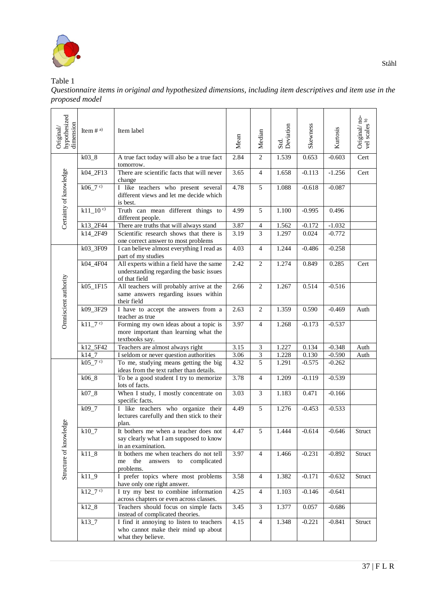

Table 1

*Questionnaire items in original and hypothesized dimensions, including item descriptives and item use in the proposed model*

| hypothesized<br>dimension<br>Original/ | Item $#$ <sup>a)</sup>                                             | Item label                                                                                            | Mean | Median         | Std.<br>Deviation | Skewness | Kurtosis | Original/ $no$ -<br>vel scales $b$ ) |
|----------------------------------------|--------------------------------------------------------------------|-------------------------------------------------------------------------------------------------------|------|----------------|-------------------|----------|----------|--------------------------------------|
|                                        | $k03_8$<br>A true fact today will also be a true fact<br>tomorrow. |                                                                                                       |      | $\sqrt{2}$     | 1.539             | 0.653    | $-0.603$ | Cert                                 |
|                                        | $k04_2F13$                                                         | There are scientific facts that will never<br>change                                                  | 3.65 | $\overline{4}$ | 1.658             | $-0.113$ | $-1.256$ | Cert                                 |
| Certainty of knowledge                 | k067c)                                                             | I like teachers who present several<br>different views and let me decide which<br>is best.            | 4.78 | 5              | 1.088             | $-0.618$ | $-0.087$ |                                      |
|                                        | $k11_10$ <sup>c)</sup>                                             | Truth can mean different things to<br>different people.                                               | 4.99 | 5              | 1.100             | $-0.995$ | 0.496    |                                      |
|                                        | k13_2F44                                                           | There are truths that will always stand                                                               | 3.87 | 4              | 1.562             | $-0.172$ | $-1.032$ |                                      |
|                                        | k14_2F49                                                           | Scientific research shows that there is<br>one correct answer to most problems                        | 3.19 | 3              | 1.297             | 0.024    | $-0.772$ |                                      |
|                                        | k03_3F09                                                           | I can believe almost everything I read as<br>part of my studies                                       | 4.03 | $\overline{4}$ | 1.244             | $-0.486$ | $-0.258$ |                                      |
|                                        | k04_4F04                                                           | All experts within a field have the same<br>understanding regarding the basic issues<br>of that field | 2.42 | $\overline{2}$ | 1.274             | 0.849    | 0.285    | Cert                                 |
|                                        | k05_1F15                                                           | All teachers will probably arrive at the<br>same answers regarding issues within<br>their field       | 2.66 | $\overline{c}$ | 1.267             | 0.514    | $-0.516$ |                                      |
| Omniscient authority                   | k09_3F29                                                           | I have to accept the answers from a<br>teacher as true                                                | 2.63 | $\overline{c}$ | 1.359             | 0.590    | $-0.469$ | Auth                                 |
|                                        | $k11_7$ <sup>c)</sup>                                              | Forming my own ideas about a topic is<br>more important than learning what the<br>textbooks say.      | 3.97 | $\overline{4}$ | 1.268             | $-0.173$ | $-0.537$ |                                      |
|                                        | k12_5F42                                                           | Teachers are almost always right                                                                      | 3.15 | 3              | 1.227             | 0.134    | $-0.348$ | $\mathop{\rm Auth}\nolimits$         |
|                                        | $k14_7$                                                            | I seldom or never question authorities                                                                | 3.06 | 3              | 1.228             | 0.130    | $-0.590$ | Auth                                 |
|                                        | $k05 - 7$ c)                                                       | To me, studying means getting the big<br>ideas from the text rather than details.                     | 4.32 | $\overline{5}$ | 1.291             | $-0.575$ | $-0.262$ |                                      |
|                                        | $k06_8$                                                            | To be a good student I try to memorize<br>lots of facts.                                              | 3.78 | 4              | 1.209             | $-0.119$ | $-0.539$ |                                      |
|                                        | $k07_8$                                                            | When I study, I mostly concentrate on<br>specific facts.                                              | 3.03 | 3              | 1.183             | 0.471    | $-0.166$ |                                      |
|                                        | $k09$ <sup>7</sup>                                                 | I like teachers who organize their<br>lectures carefully and then stick to their<br>plan.             | 4.49 | 5              | 1.276             | $-0.453$ | $-0.533$ |                                      |
| Structure of knowledge                 | $k10_7$                                                            | It bothers me when a teacher does not<br>say clearly what I am supposed to know<br>in an examination. | 4.47 | $\overline{5}$ | 1.444             | $-0.614$ | $-0.646$ | Struct                               |
|                                        | $k11_8$                                                            | It bothers me when teachers do not tell<br>me<br>the<br>answers<br>to<br>complicated<br>problems.     | 3.97 | $\overline{4}$ | 1.466             | $-0.231$ | $-0.892$ | Struct                               |
|                                        | $k11_9$                                                            | I prefer topics where most problems<br>have only one right answer.                                    | 3.58 | $\overline{4}$ | 1.382             | $-0.171$ | $-0.632$ | Struct                               |
|                                        | $k12 - 7$ <sup>c)</sup>                                            | I try my best to combine information<br>across chapters or even across classes.                       | 4.25 | $\overline{4}$ | 1.103             | $-0.146$ | $-0.641$ |                                      |
|                                        | $k12_8$                                                            | Teachers should focus on simple facts<br>instead of complicated theories.                             | 3.45 | $\overline{3}$ | 1.377             | 0.057    | $-0.686$ |                                      |
|                                        | k137                                                               | I find it annoying to listen to teachers<br>who cannot make their mind up about<br>what they believe. | 4.15 | $\overline{4}$ | 1.348             | $-0.221$ | $-0.841$ | Struct                               |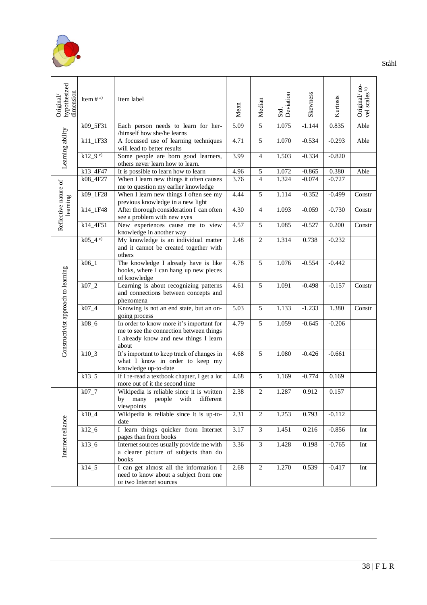

| hypothesized<br>dimension<br>Original/ | Item $#$ <sup>a)</sup> | Item label                                                                                                                            | Mean | Median         | Std.<br>Deviation  | Skewness | Kurtosis | Original/ $no$ -<br>vel scales $\frac{b}{c}$ |
|----------------------------------------|------------------------|---------------------------------------------------------------------------------------------------------------------------------------|------|----------------|--------------------|----------|----------|----------------------------------------------|
|                                        | k09_5F31               | Each person needs to learn for her-<br>/himself how she/he learns                                                                     | 5.09 | $\overline{5}$ | 1.075              | $-1.144$ | 0.835    | Able                                         |
|                                        | k11_1F33               | A focussed use of learning techniques<br>will lead to better results                                                                  | 4.71 | $\overline{5}$ | 1.070              | $-0.534$ | $-0.293$ | Able                                         |
| Learning ability                       | $k12_9$ c)             | Some people are born good learners,<br>others never learn how to learn.                                                               | 3.99 | $\overline{4}$ | 1.503              | $-0.334$ | $-0.820$ |                                              |
|                                        | k13_4F47               | It is possible to learn how to learn                                                                                                  | 4.96 | 5              | 1.072              | $-0.865$ | 0.380    | Able                                         |
|                                        | k08_4F27               | When I learn new things it often causes                                                                                               | 3.76 | $\overline{4}$ | 1.324              | $-0.074$ | $-0.727$ |                                              |
|                                        |                        | me to question my earlier knowledge                                                                                                   |      |                |                    |          |          |                                              |
| Reflective nature of                   | k09_1F28               | When I learn new things I often see my<br>previous knowledge in a new light                                                           | 4.44 | 5              | 1.114              | $-0.352$ | $-0.499$ | Constr                                       |
| learning                               | k14_1F48               | After thorough consideration I can often<br>see a problem with new eyes                                                               | 4.30 | $\overline{4}$ | 1.093              | $-0.059$ | $-0.730$ | Constr                                       |
|                                        | k14_4F51               | New experiences cause me to view<br>knowledge in another way                                                                          | 4.57 | 5              | 1.085              | $-0.527$ | 0.200    | Constr                                       |
|                                        | $k05_4c$               | My knowledge is an individual matter<br>and it cannot be created together with<br>others                                              | 2.48 | $\mathfrak{2}$ | 1.314              | 0.738    | $-0.232$ |                                              |
| Constructivist approach to learning    | $k06_1$                | The knowledge I already have is like<br>hooks, where I can hang up new pieces<br>of knowledge                                         | 4.78 | $\sqrt{5}$     | 1.076              | $-0.554$ | $-0.442$ |                                              |
|                                        | $k07_2$                | Learning is about recognizing patterns<br>and connections between concepts and<br>phenomena                                           | 4.61 | 5              | 1.091              | $-0.498$ | $-0.157$ | Constr                                       |
|                                        | $k07_4$                | Knowing is not an end state, but an on-<br>going process                                                                              | 5.03 | 5              | 1.133              | $-1.233$ | 1.380    | Constr                                       |
|                                        | $k08_6$                | In order to know more it's important for<br>me to see the connection between things<br>I already know and new things I learn<br>about | 4.79 | 5              | 1.059              | $-0.645$ | $-0.206$ |                                              |
|                                        | $k10_3$                | It's important to keep track of changes in<br>what I know in order to keep my<br>knowledge up-to-date                                 | 4.68 | 5              | 1.080              | $-0.426$ | $-0.661$ |                                              |
|                                        | k135                   | If I re-read a textbook chapter, I get a lot<br>more out of it the second time                                                        | 4.68 | 5              | 1.169              | $-0.774$ | 0.169    |                                              |
|                                        | $k07 - 7$              | Wikipedia is reliable since it is written<br>with<br>people<br>different<br>by many<br>viewpoints                                     | 2.38 | $\sqrt{2}$     | 1.287              | 0.912    | 0.157    |                                              |
|                                        | $k10_4$                | Wikipedia is reliable since it is up-to-<br>date                                                                                      | 2.31 | $\overline{c}$ | 1.253              | 0.793    | $-0.112$ |                                              |
|                                        | $k12_6$                | I learn things quicker from Internet<br>pages than from books                                                                         | 3.17 | $\overline{3}$ | 1.451              | 0.216    | $-0.856$ | Int                                          |
| Internet reliance                      | $k13_6$                | Internet sources usually provide me with<br>a clearer picture of subjects than do<br>books                                            | 3.36 | $\overline{3}$ | 1.428              | 0.198    | $-0.765$ | Int                                          |
|                                        | $k14_5$                | I can get almost all the information I<br>need to know about a subject from one<br>or two Internet sources                            | 2.68 | $\overline{c}$ | $\overline{1.270}$ | 0.539    | $-0.417$ | Int                                          |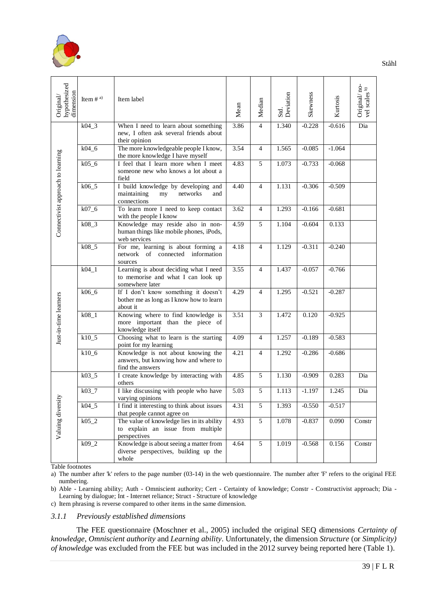

| hypothesized<br>dimension<br>Original/ | Item $#$ <sup>a)</sup>                                                                               | Item label                                                                                      | Mean | Median         | Std.<br>Deviation | Skewness | Kurtosis | Original/ $no$ -<br>vel scales $b$ ) |
|----------------------------------------|------------------------------------------------------------------------------------------------------|-------------------------------------------------------------------------------------------------|------|----------------|-------------------|----------|----------|--------------------------------------|
|                                        | $k04_3$                                                                                              | When I need to learn about something<br>new, I often ask several friends about<br>their opinion | 3.86 | $\overline{4}$ | 1.340             | $-0.228$ | $-0.616$ | Dia                                  |
|                                        | $k04_6$                                                                                              | The more knowledgeable people I know,<br>the more knowledge I have myself                       | 3.54 | $\overline{4}$ | 1.565             | $-0.085$ | $-1.064$ |                                      |
| Connectivist approach to learning      | $k05_6$                                                                                              | I feel that I learn more when I meet<br>someone new who knows a lot about a<br>field            | 4.83 | 5              | 1.073             | $-0.733$ | $-0.068$ |                                      |
|                                        | $k06_5$                                                                                              | I build knowledge by developing and<br>maintaining<br>networks<br>my<br>and<br>connections      | 4.40 | $\overline{4}$ | 1.131             | $-0.306$ | $-0.509$ |                                      |
|                                        | $k07-6$                                                                                              | To learn more I need to keep contact<br>with the people I know                                  | 3.62 | $\overline{4}$ | 1.293             | $-0.166$ | $-0.681$ |                                      |
|                                        | k083<br>Knowledge may reside also in non-<br>human things like mobile phones, iPods,<br>web services |                                                                                                 |      |                | 1.104             | $-0.604$ | 0.133    |                                      |
|                                        | $k08-5$                                                                                              | For me, learning is about forming a<br>of connected information<br>network<br>sources           | 4.18 | $\overline{4}$ | 1.129             | $-0.311$ | $-0.240$ |                                      |
|                                        | $k04_1$                                                                                              | Learning is about deciding what I need<br>to memorise and what I can look up<br>somewhere later | 3.55 | $\overline{4}$ | 1.437             | $-0.057$ | $-0.766$ |                                      |
|                                        | $k06_6$                                                                                              | If I don't know something it doesn't<br>bother me as long as I know how to learn<br>about it    | 4.29 | $\overline{4}$ | 1.295             | $-0.521$ | $-0.287$ |                                      |
| Just-in-time learners                  | $k08_1$                                                                                              | Knowing where to find knowledge is<br>more important than the piece of<br>knowledge itself      | 3.51 | 3              | 1.472             | 0.120    | $-0.925$ |                                      |
|                                        | $k10_5$                                                                                              | Choosing what to learn is the starting<br>point for my learning                                 | 4.09 | 4              | 1.257             | $-0.189$ | $-0.583$ |                                      |
|                                        | $k10_6$                                                                                              | Knowledge is not about knowing the<br>answers, but knowing how and where to<br>find the answers | 4.21 | 4              | 1.292             | $-0.286$ | $-0.686$ |                                      |
|                                        | $k03_5$                                                                                              | I create knowledge by interacting with<br>others                                                | 4.85 | 5              | 1.130             | $-0.909$ | 0.283    | Dia                                  |
|                                        | $k03_7$                                                                                              | I like discussing with people who have<br>varying opinions                                      | 5.03 | 5              | 1.113             | $-1.197$ | 1.245    | Dia                                  |
|                                        | $k04_5$                                                                                              | I find it interesting to think about issues<br>that people cannot agree on                      | 4.31 | 5              | 1.393             | $-0.550$ | $-0.517$ |                                      |
| Valuing diversit                       | $k05_2$                                                                                              | The value of knowledge lies in its ability<br>to explain an issue from multiple<br>perspectives | 4.93 | $\sqrt{5}$     | 1.078             | $-0.837$ | 0.090    | Constr                               |
|                                        | $k09_2$                                                                                              | Knowledge is about seeing a matter from<br>diverse perspectives, building up the<br>whole       | 4.64 | $\sqrt{5}$     | 1.019             | $-0.568$ | 0.156    | Constr                               |

#### Table footnotes

a) The number after 'k' refers to the page number (03-14) in the web questionnaire. The number after 'F' refers to the original FEE numbering.

b) Able - Learning ability; Auth - Omniscient authority; Cert - Certainty of knowledge; Constr - Constructivist approach; Dia - Learning by dialogue; Int - Internet reliance; Struct - Structure of knowledge

c) Item phrasing is reverse compared to other items in the same dimension.

#### *3.1.1 Previously established dimensions*

The FEE questionnaire (Moschner et al., 2005) included the original SEQ dimensions *Certainty of knowledge*, *Omniscient authority* and *Learning ability*. Unfortunately, the dimension *Structure* (or *Simplicity) of knowledge* was excluded from the FEE but was included in the 2012 survey being reported here (Table 1).

Ståhl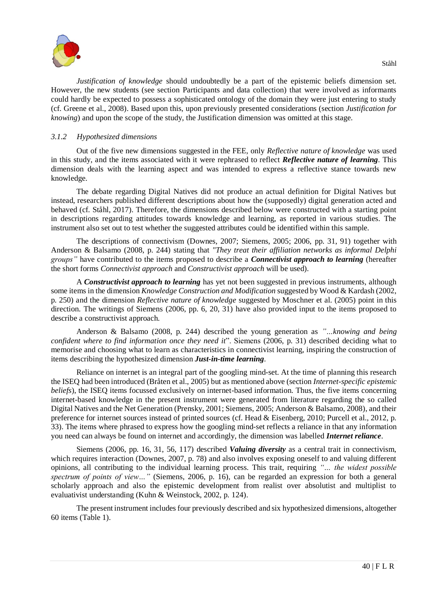

*Justification of knowledge* should undoubtedly be a part of the epistemic beliefs dimension set. However, the new students (see section [Participants and data collection\)](#page-14-0) that were involved as informants could hardly be expected to possess a sophisticated ontology of the domain they were just entering to study (cf. Greene et al., 2008). Based upon this, upon previously presented considerations (section *[Justification for](#page-7-0)  [knowing](#page-7-0)*) and upon the scope of the study, the Justification dimension was omitted at this stage.

# <span id="page-13-0"></span>*3.1.2 Hypothesized dimensions*

Out of the five new dimensions suggested in the FEE, only *Reflective nature of knowledge* was used in this study, and the items associated with it were rephrased to reflect *Reflective nature of learning*. This dimension deals with the learning aspect and was intended to express a reflective stance towards new knowledge.

The debate regarding Digital Natives did not produce an actual definition for Digital Natives but instead, researchers published different descriptions about how the (supposedly) digital generation acted and behaved (cf. Ståhl, 2017). Therefore, the dimensions described below were constructed with a starting point in descriptions regarding attitudes towards knowledge and learning, as reported in various studies. The instrument also set out to test whether the suggested attributes could be identified within this sample.

The descriptions of connectivism (Downes, 2007; Siemens, 2005; 2006, pp. 31, 91) together with Anderson & Balsamo (2008, p. 244) stating that *"They treat their affiliation networks as informal Delphi groups"* have contributed to the items proposed to describe a *Connectivist approach to learning* (hereafter the short forms *Connectivist approach* and *Constructivist approach* will be used).

A *Constructivist approach to learning* has yet not been suggested in previous instruments, although some items in the dimension *Knowledge Construction and Modification* suggested by Wood & Kardash (2002, p. 250) and the dimension *Reflective nature of knowledge* suggested by Moschner et al. (2005) point in this direction. The writings of Siemens (2006, pp. 6, 20, 31) have also provided input to the items proposed to describe a constructivist approach.

Anderson & Balsamo (2008, p. 244) described the young generation as *"…knowing and being confident where to find information once they need it*". Siemens (2006, p. 31) described deciding what to memorise and choosing what to learn as characteristics in connectivist learning, inspiring the construction of items describing the hypothesized dimension *Just-in-time learning*.

Reliance on internet is an integral part of the googling mind-set. At the time of planning this research the ISEQ had been introduced (Bråten et al., 2005) but as mentioned above (section *[Internet-specific epistemic](#page-6-0)  [beliefs](#page-6-0)*), the ISEQ items focussed exclusively on internet-based information. Thus, the five items concerning internet-based knowledge in the present instrument were generated from literature regarding the so called Digital Natives and the Net Generation (Prensky, 2001; Siemens, 2005; Anderson & Balsamo, 2008), and their preference for internet sources instead of printed sources (cf. Head & Eisenberg, 2010; Purcell et al., 2012, p. 33). The items where phrased to express how the googling mind-set reflects a reliance in that any information you need can always be found on internet and accordingly, the dimension was labelled *Internet reliance*.

Siemens (2006, pp. 16, 31, 56, 117) described *Valuing diversity* as a central trait in connectivism, which requires interaction (Downes, 2007, p. 78) and also involves exposing oneself to and valuing different opinions, all contributing to the individual learning process. This trait, requiring *"… the widest possible spectrum of points of view…"* (Siemens, 2006, p. 16)*,* can be regarded an expression for both a general scholarly approach and also the epistemic development from realist over absolutist and multiplist to evaluativist understanding (Kuhn & Weinstock, 2002, p. 124).

The present instrument includes four previously described and six hypothesized dimensions, altogether 60 items (Table 1).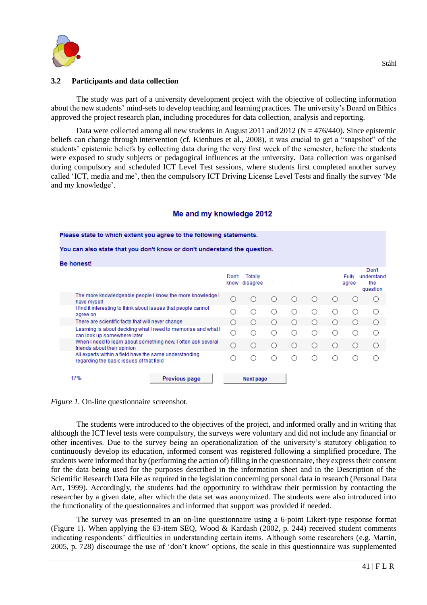

#### <span id="page-14-0"></span>**3.2 Participants and data collection**

The study was part of a university development project with the objective of collecting information about the new students' mind-sets to develop teaching and learning practices. The university's Board on Ethics approved the project research plan, including procedures for data collection, analysis and reporting.

Data were collected among all new students in August 2011 and 2012 ( $N = 476/440$ ). Since epistemic beliefs can change through intervention (cf. Kienhues et al., 2008), it was crucial to get a "snapshot" of the students' epistemic beliefs by collecting data during the very first week of the semester, before the students were exposed to study subjects or pedagogical influences at the university. Data collection was organised during compulsory and scheduled ICT Level Test sessions, where students first completed another survey called 'ICT, media and me', then the compulsory ICT Driving License Level Tests and finally the survey 'Me and my knowledge'.

# Me and my knowledge 2012

| Please state to which extent you agree to the following statements.                                |                      |               |                     |   |   |     |           |                |                                        |  |  |  |
|----------------------------------------------------------------------------------------------------|----------------------|---------------|---------------------|---|---|-----|-----------|----------------|----------------------------------------|--|--|--|
| You can also state that you don't know or don't understand the question.                           |                      |               |                     |   |   |     |           |                |                                        |  |  |  |
| Be honest!                                                                                         |                      |               |                     |   |   |     |           |                |                                        |  |  |  |
|                                                                                                    |                      | Don't<br>know | Totally<br>disagree |   |   |     |           | Fully<br>agree | Don't<br>understand<br>the<br>question |  |  |  |
| The more knowledgeable people I know, the more knowledge I<br>have myself                          |                      | ∩             |                     |   | ∩ | ∩   |           |                |                                        |  |  |  |
| I find it interesting to think about issues that people cannot<br>agree on                         |                      |               | ∩                   |   | ∩ | ∩   |           |                |                                        |  |  |  |
| There are scientific facts that will never change                                                  |                      | $\bigcap$     | $\bigcap$           |   | Ω | ()  | $\bigcap$ | ()             |                                        |  |  |  |
| Learning is about deciding what I need to memorise and what I<br>can look up somewhere later       |                      | ∩             | ∩                   |   | ∩ | ( ) |           |                |                                        |  |  |  |
| When I need to learn about something new, I often ask several<br>friends about their opinion       |                      | ∩             | ∩                   |   | ∩ | ∩   |           | ( )            | $\bigcap$                              |  |  |  |
| All experts within a field have the same understanding<br>regarding the basic issues of that field |                      | ∩             | ∩                   | ∩ | ∩ | ∩   |           | ( )            |                                        |  |  |  |
| 17%                                                                                                | <b>Previous page</b> |               | Next page           |   |   |     |           |                |                                        |  |  |  |

*Figure 1.* On-line questionnaire screenshot.

The students were introduced to the objectives of the project, and informed orally and in writing that although the ICT level tests were compulsory, the surveys were voluntary and did not include any financial or other incentives. Due to the survey being an operationalization of the university's statutory obligation to continuously develop its education, informed consent was registered following a simplified procedure. The students were informed that by (performing the action of) filling in the questionnaire, they express their consent for the data being used for the purposes described in the information sheet and in the Description of the Scientific Research Data File as required in the legislation concerning personal data in research (Personal Data Act, 1999). Accordingly, the students had the opportunity to withdraw their permission by contacting the researcher by a given date, after which the data set was anonymized. The students were also introduced into the functionality of the questionnaires and informed that support was provided if needed.

The survey was presented in an on-line questionnaire using a 6-point Likert-type response format (Figure 1). When applying the 63-item SEQ, Wood & Kardash (2002, p. 244) received student comments indicating respondents' difficulties in understanding certain items. Although some researchers (e.g. Martin, 2005, p. 728) discourage the use of 'don't know' options, the scale in this questionnaire was supplemented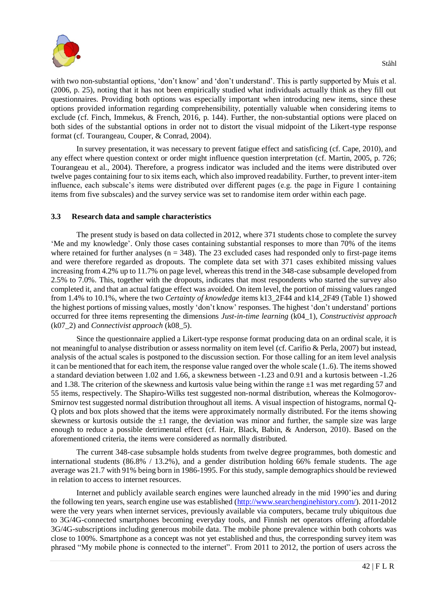

with two non-substantial options, 'don't know' and 'don't understand'. This is partly supported by Muis et al. (2006, p. 25), noting that it has not been empirically studied what individuals actually think as they fill out questionnaires. Providing both options was especially important when introducing new items, since these options provided information regarding comprehensibility, potentially valuable when considering items to exclude (cf. Finch, Immekus, & French, 2016, p. 144). Further, the non-substantial options were placed on both sides of the substantial options in order not to distort the visual midpoint of the Likert-type response format (cf. Tourangeau, Couper, & Conrad, 2004).

In survey presentation, it was necessary to prevent fatigue effect and satisficing (cf. Cape, 2010), and any effect where question context or order might influence question interpretation (cf. Martin, 2005, p. 726; Tourangeau et al., 2004). Therefore, a progress indicator was included and the items were distributed over twelve pages containing four to six items each, which also improved readability. Further, to prevent inter-item influence, each subscale's items were distributed over different pages (e.g. the page in Figure 1 containing items from five subscales) and the survey service was set to randomise item order within each page.

# <span id="page-15-0"></span>**3.3 Research data and sample characteristics**

The present study is based on data collected in 2012, where 371 students chose to complete the survey 'Me and my knowledge'. Only those cases containing substantial responses to more than 70% of the items where retained for further analyses ( $n = 348$ ). The 23 excluded cases had responded only to first-page items and were therefore regarded as dropouts. The complete data set with 371 cases exhibited missing values increasing from 4.2% up to 11.7% on page level, whereas this trend in the 348-case subsample developed from 2.5% to 7.0%. This, together with the dropouts, indicates that most respondents who started the survey also completed it, and that an actual fatigue effect was avoided. On item level, the portion of missing values ranged from 1.4% to 10.1%, where the two *Certainty of knowledge* items k13\_2F44 and k14\_2F49 (Table 1) showed the highest portions of missing values, mostly 'don't know' responses. The highest 'don't understand' portions occurred for three items representing the dimensions *Just-in-time learning* (k04\_1), *Constructivist approach* (k07\_2) and *Connectivist approach* (k08\_5).

Since the questionnaire applied a Likert-type response format producing data on an ordinal scale, it is not meaningful to analyse distribution or assess normality on item level (cf. Carifio & Perla, 2007) but instead, analysis of the actual scales is postponed to the discussion section. For those calling for an item level analysis it can be mentioned that for each item, the response value ranged over the whole scale (1..6). The items showed a standard deviation between 1.02 and 1.66, a skewness between -1.23 and 0.91 and a kurtosis between -1.26 and 1.38. The criterion of the skewness and kurtosis value being within the range  $\pm 1$  was met regarding 57 and 55 items, respectively. The Shapiro-Wilks test suggested non-normal distribution, whereas the Kolmogorov-Smirnov test suggested normal distribution throughout all items. A visual inspection of histograms, normal Q-Q plots and box plots showed that the items were approximately normally distributed. For the items showing skewness or kurtosis outside the  $\pm 1$  range, the deviation was minor and further, the sample size was large enough to reduce a possible detrimental effect (cf. Hair, Black, Babin, & Anderson, 2010). Based on the aforementioned criteria, the items were considered as normally distributed.

The current 348-case subsample holds students from twelve degree programmes, both domestic and international students (86.8% / 13.2%), and a gender distribution holding 66% female students. The age average was 21.7 with 91% being born in 1986-1995. For this study, sample demographics should be reviewed in relation to access to internet resources.

Internet and publicly available search engines were launched already in the mid 1990'ies and during the following ten years, search engine use was established [\(http://www.searchenginehistory.com/\)](http://www.searchenginehistory.com/). 2011-2012 were the very years when internet services, previously available via computers, became truly ubiquitous due to 3G/4G-connected smartphones becoming everyday tools, and Finnish net operators offering affordable 3G/4G-subscriptions including generous mobile data. The mobile phone prevalence within both cohorts was close to 100%. Smartphone as a concept was not yet established and thus, the corresponding survey item was phrased "My mobile phone is connected to the internet". From 2011 to 2012, the portion of users across the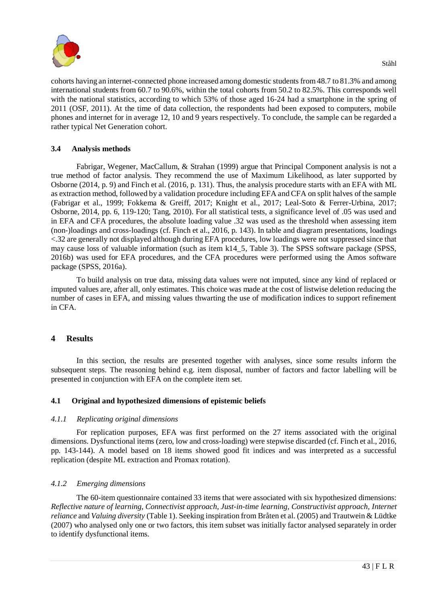

cohorts having an internet-connected phone increased among domestic students from 48.7 to 81.3% and among international students from 60.7 to 90.6%, within the total cohorts from 50.2 to 82.5%. This corresponds well with the national statistics, according to which 53% of those aged 16-24 had a smartphone in the spring of 2011 (OSF, 2011). At the time of data collection, the respondents had been exposed to computers, mobile phones and internet for in average 12, 10 and 9 years respectively. To conclude, the sample can be regarded a rather typical Net Generation cohort.

# **3.4 Analysis methods**

Fabrigar, Wegener, MacCallum, & Strahan (1999) argue that Principal Component analysis is not a true method of factor analysis. They recommend the use of Maximum Likelihood, as later supported by Osborne (2014, p. 9) and Finch et al. (2016, p. 131). Thus, the analysis procedure starts with an EFA with ML as extraction method, followed by a validation procedure including EFA and CFA on split halves of the sample (Fabrigar et al., 1999; Fokkema & Greiff, 2017; Knight et al., 2017; Leal-Soto & Ferrer-Urbina, 2017; Osborne, 2014, pp. 6, 119-120; Tang, 2010). For all statistical tests, a significance level of .05 was used and in EFA and CFA procedures, the absolute loading value .32 was used as the threshold when assessing item (non-)loadings and cross-loadings (cf. Finch et al., 2016, p. 143). In table and diagram presentations, loadings <.32 are generally not displayed although during EFA procedures, low loadings were not suppressed since that may cause loss of valuable information (such as item k14\_5, Table 3). The SPSS software package (SPSS, 2016b) was used for EFA procedures, and the CFA procedures were performed using the Amos software package (SPSS, 2016a).

To build analysis on true data, missing data values were not imputed, since any kind of replaced or imputed values are, after all, only estimates. This choice was made at the cost of listwise deletion reducing the number of cases in EFA, and missing values thwarting the use of modification indices to support refinement in CFA.

# **4 Results**

In this section, the results are presented together with analyses, since some results inform the subsequent steps. The reasoning behind e.g. item disposal, number of factors and factor labelling will be presented in conjunction with EFA on the complete item set.

# **4.1 Original and hypothesized dimensions of epistemic beliefs**

# *4.1.1 Replicating original dimensions*

For replication purposes, EFA was first performed on the 27 items associated with the original dimensions. Dysfunctional items (zero, low and cross-loading) were stepwise discarded (cf. Finch et al., 2016, pp. 143-144). A model based on 18 items showed good fit indices and was interpreted as a successful replication (despite ML extraction and Promax rotation).

# *4.1.2 Emerging dimensions*

The 60-item questionnaire contained 33 items that were associated with six hypothesized dimensions: *Reflective nature of learning, Connectivist approach, Just-in-time learning, Constructivist approach, Internet reliance* and *Valuing diversity* (Table 1). Seeking inspiration from Bråten et al. (2005) and Trautwein & Lüdtke (2007) who analysed only one or two factors, this item subset was initially factor analysed separately in order to identify dysfunctional items.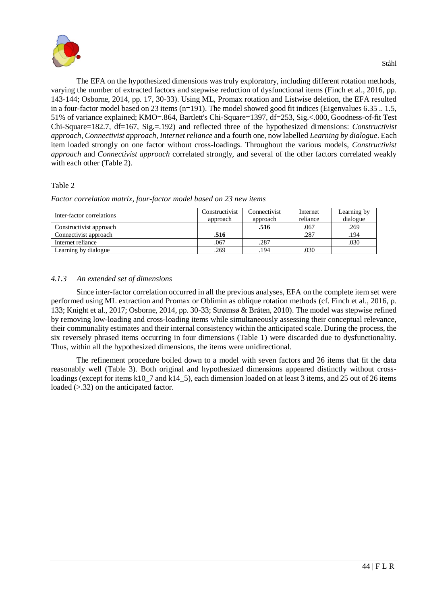

The EFA on the hypothesized dimensions was truly exploratory, including different rotation methods, varying the number of extracted factors and stepwise reduction of dysfunctional items (Finch et al., 2016, pp. 143-144; Osborne, 2014, pp. 17, 30-33). Using ML, Promax rotation and Listwise deletion, the EFA resulted in a four-factor model based on 23 items (n=191). The model showed good fit indices (Eigenvalues 6.35 .. 1.5, 51% of variance explained; KMO=.864, Bartlett's Chi-Square=1397, df=253, Sig.<.000, Goodness-of-fit Test Chi-Square=182.7, df=167, Sig.=.192) and reflected three of the hypothesized dimensions: *Constructivist approach*, *Connectivist approach*, *Internet reliance* and a fourth one, now labelled *Learning by dialogue*. Each item loaded strongly on one factor without cross-loadings. Throughout the various models, *Constructivist approach* and *Connectivist approach* correlated strongly, and several of the other factors correlated weakly with each other (Table 2).

# Table 2

*Factor correlation matrix, four-factor model based on 23 new items*

| Inter-factor correlations | Constructivist<br>approach | Connectivist<br>approach | Internet<br>reliance | Learning by<br>dialogue |
|---------------------------|----------------------------|--------------------------|----------------------|-------------------------|
| Constructivist approach   |                            | .516                     | .067                 | .269                    |
| Connectivist approach     | .516                       |                          | .287                 | .194                    |
| Internet reliance         | .067                       | .287                     |                      | .030                    |
| Learning by dialogue      | .269                       | .194                     | .030                 |                         |

# <span id="page-17-0"></span>*4.1.3 An extended set of dimensions*

Since inter-factor correlation occurred in all the previous analyses, EFA on the complete item set were performed using ML extraction and Promax or Oblimin as oblique rotation methods (cf. Finch et al., 2016, p. 133; Knight et al., 2017; Osborne, 2014, pp. 30-33; Strømsø & Bråten, 2010). The model was stepwise refined by removing low-loading and cross-loading items while simultaneously assessing their conceptual relevance, their communality estimates and their internal consistency within the anticipated scale. During the process, the six reversely phrased items occurring in four dimensions (Table 1) were discarded due to dysfunctionality. Thus, within all the hypothesized dimensions, the items were unidirectional.

The refinement procedure boiled down to a model with seven factors and 26 items that fit the data reasonably well (Table 3). Both original and hypothesized dimensions appeared distinctly without crossloadings (except for items k10\_7 and k14\_5), each dimension loaded on at least 3 items, and 25 out of 26 items loaded ( $>32$ ) on the anticipated factor.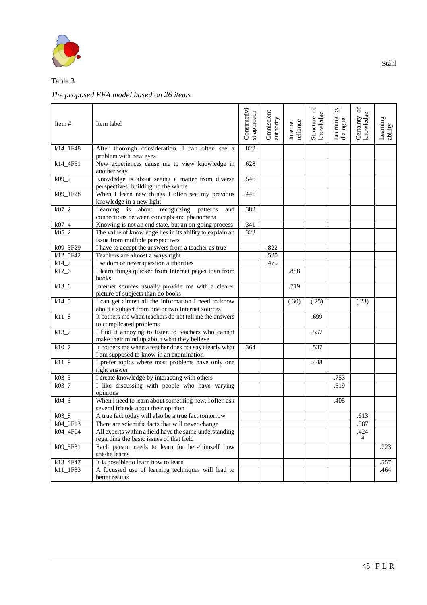

# Table 3

|                         | The proposed EFA model based on 26 items                                                                |                             |                         |                      |                                |                                     |                           |                     |
|-------------------------|---------------------------------------------------------------------------------------------------------|-----------------------------|-------------------------|----------------------|--------------------------------|-------------------------------------|---------------------------|---------------------|
| Item#                   | Item label                                                                                              | Constructivi<br>st approach | Omniscient<br>authority | reliance<br>Internet | ð<br>Structure of<br>knowledge | $\rm{Yd}$<br>Learning 1<br>dialogue | Certainty of<br>knowledge | Learning<br>ability |
| $k14$ <sub>-1</sub> F48 | After thorough consideration, I can often see a<br>problem with new eyes                                | .822                        |                         |                      |                                |                                     |                           |                     |
| k14_4F51                | New experiences cause me to view knowledge in<br>another way                                            | .628                        |                         |                      |                                |                                     |                           |                     |
| $k09_2$                 | Knowledge is about seeing a matter from diverse<br>perspectives, building up the whole                  | .546                        |                         |                      |                                |                                     |                           |                     |
| k09_1F28                | When I learn new things I often see my previous<br>knowledge in a new light                             | .446                        |                         |                      |                                |                                     |                           |                     |
| $k07_2$                 | is about recognizing<br>Learning<br>patterns<br>and<br>connections between concepts and phenomena       | .382                        |                         |                      |                                |                                     |                           |                     |
| $k07_4$                 | Knowing is not an end state, but an on-going process                                                    | .341                        |                         |                      |                                |                                     |                           |                     |
| $k05_2$                 | The value of knowledge lies in its ability to explain an<br>issue from multiple perspectives            | .323                        |                         |                      |                                |                                     |                           |                     |
| k09_3F29                | I have to accept the answers from a teacher as true                                                     |                             | .822                    |                      |                                |                                     |                           |                     |
| k12_5F42                | Teachers are almost always right                                                                        |                             | .520                    |                      |                                |                                     |                           |                     |
| $k14$ <sup>7</sup>      | I seldom or never question authorities                                                                  |                             | .475                    |                      |                                |                                     |                           |                     |
| $k12_6$                 | I learn things quicker from Internet pages than from<br>books                                           |                             |                         | .888                 |                                |                                     |                           |                     |
| $k13_6$                 | Internet sources usually provide me with a clearer<br>picture of subjects than do books                 |                             |                         | .719                 |                                |                                     |                           |                     |
| $k14_5$                 | I can get almost all the information I need to know<br>about a subject from one or two Internet sources |                             |                         | (0.30)               | (.25)                          |                                     | (.23)                     |                     |
| $k11_8$                 | It bothers me when teachers do not tell me the answers<br>to complicated problems                       |                             |                         |                      | .699                           |                                     |                           |                     |
| $k13_7$                 | I find it annoying to listen to teachers who cannot<br>make their mind up about what they believe       |                             |                         |                      | .557                           |                                     |                           |                     |
| k10 <sub>7</sub>        | It bothers me when a teacher does not say clearly what<br>I am supposed to know in an examination       | .364                        |                         |                      | .537                           |                                     |                           |                     |
| $k11_9$                 | I prefer topics where most problems have only one<br>right answer                                       |                             |                         |                      | .448                           |                                     |                           |                     |
| $k03_5$                 | I create knowledge by interacting with others                                                           |                             |                         |                      |                                | .753                                |                           |                     |
| k037                    | I like discussing with people who have varying<br>opinions                                              |                             |                         |                      |                                | .519                                |                           |                     |
| $k04_3$                 | When I need to learn about something new, I often ask<br>several friends about their opinion            |                             |                         |                      |                                | .405                                |                           |                     |
| $k03_8$                 | A true fact today will also be a true fact tomorrow                                                     |                             |                         |                      |                                |                                     | .613                      |                     |
| k04_2F13                | There are scientific facts that will never change                                                       |                             |                         |                      |                                |                                     | .587                      |                     |
| $k04$ <sub>-4F04</sub>  | All experts within a field have the same understanding                                                  |                             |                         |                      |                                |                                     | .424                      |                     |
|                         | regarding the basic issues of that field                                                                |                             |                         |                      |                                |                                     | a)                        |                     |
| k09_5F31                | Each person needs to learn for her-/himself how<br>she/he learns                                        |                             |                         |                      |                                |                                     |                           | .723                |
| k13_4F47                | It is possible to learn how to learn                                                                    |                             |                         |                      |                                |                                     |                           | .557                |

k11\_1F33 A focussed use of learning techniques will lead to

better results

Learning ability

.723

.464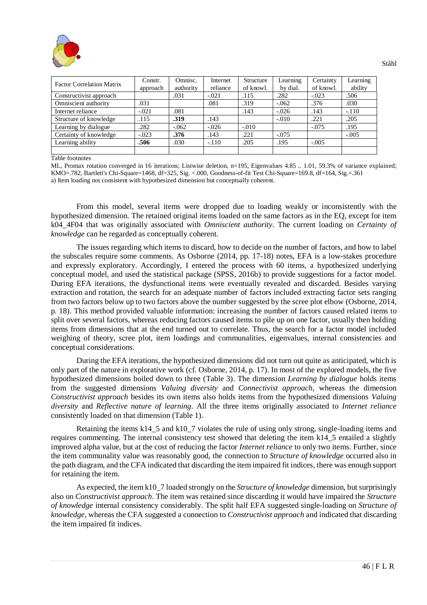

| <b>Factor Correlation Matrix</b> | Constr.<br>approach | Omnisc.<br>authority | Internet<br>reliance | Structure<br>of knowl. | Learning<br>by dial. | Certainty<br>of knowl. | Learning<br>ability |
|----------------------------------|---------------------|----------------------|----------------------|------------------------|----------------------|------------------------|---------------------|
| Constructivist approach          |                     | .031                 | $-.021$              | .115                   | .282                 | $-.023$                | .506                |
| Omniscient authority             | .031                |                      | .081                 | .319                   | $-.062$              | .376                   | .030                |
| Internet reliance                | $-.021$             | .081                 |                      | .143                   | $-.026$              | .143                   | $-.110$             |
| Structure of knowledge           | .115                | .319                 | .143                 |                        | $-.010$              | .221                   | .205                |
| Learning by dialogue             | .282                | $-.062$              | $-.026$              | $-.010$                |                      | $-.075$                | .195                |
| Certainty of knowledge           | $-.023$             | .376                 | .143                 | .221                   | $-.075$              |                        | $-.005$             |
| Learning ability                 | .506                | .030                 | $-.110$              | .205                   | .195                 | $-.005$                |                     |
|                                  |                     |                      |                      |                        |                      |                        |                     |

Table footnotes

ML, Promax rotation converged in 16 iterations; Listwise deletion, n=195, Eigenvalues 4.85 .. 1.01, 59.3% of variance explained; KMO=.782, Bartlett's Chi-Square=1468, df=325, Sig. <.000, Goodness-of-fit Test Chi-Square=169.8, df=164, Sig.=.361 a) Item loading not consistent with hypothesized dimension but conceptually coherent.

From this model, several items were dropped due to loading weakly or inconsistently with the hypothesized dimension. The retained original items loaded on the same factors as in the EQ, except for item k04\_4F04 that was originally associated with *Omniscient authority*. The current loading on *Certainty of knowledge* can be regarded as conceptually coherent.

The issues regarding which items to discard, how to decide on the number of factors, and how to label the subscales require some comments. As Osborne (2014, pp. 17-18) notes, EFA is a low-stakes procedure and expressly exploratory. Accordingly, I entered the process with 60 items, a hypothesized underlying conceptual model, and used the statistical package (SPSS, 2016b) to provide suggestions for a factor model. During EFA iterations, the dysfunctional items were eventually revealed and discarded. Besides varying extraction and rotation, the search for an adequate number of factors included extracting factor sets ranging from two factors below up to two factors above the number suggested by the scree plot elbow (Osborne, 2014, p. 18). This method provided valuable information: increasing the number of factors caused related items to split over several factors, whereas reducing factors caused items to pile up on one factor, usually then holding items from dimensions that at the end turned out to correlate. Thus, the search for a factor model included weighing of theory, scree plot, item loadings and communalities, eigenvalues, internal consistencies and conceptual considerations.

During the EFA iterations, the hypothesized dimensions did not turn out quite as anticipated, which is only part of the nature in explorative work (cf. Osborne, 2014, p. 17). In most of the explored models, the five hypothesized dimensions boiled down to three (Table 3). The dimension *Learning by dialogue* holds items from the suggested dimensions *Valuing diversity* and *Connectivist approach*, whereas the dimension *Constructivist approach* besides its own items also holds items from the hypothesized dimensions *Valuing diversity* and *Reflective nature of learning*. All the three items originally associated to *Internet reliance* consistently loaded on that dimension (Table 1).

Retaining the items k14\_5 and k10\_7 violates the rule of using only strong, single-loading items and requires commenting. The internal consistency test showed that deleting the item k14\_5 entailed a slightly improved alpha value, but at the cost of reducing the factor *Internet reliance* to only two items. Further, since the item communality value was reasonably good, the connection to *Structure of knowledge* occurred also in the path diagram, and the CFA indicated that discarding the item impaired fit indices, there was enough support for retaining the item.

As expected, the item k10\_7 loaded strongly on the *Structure of knowledge* dimension, but surprisingly also on *Constructivist approach*. The item was retained since discarding it would have impaired the *Structure of knowledge* internal consistency considerably. The split half EFA suggested single-loading on *Structure of knowledge*, whereas the CFA suggested a connection to *Constructivist approach* and indicated that discarding the item impaired fit indices.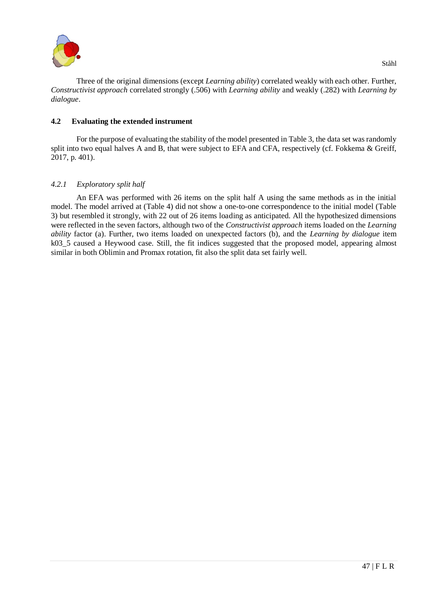

Three of the original dimensions (except *Learning ability*) correlated weakly with each other. Further, *Constructivist approach* correlated strongly (.506) with *Learning ability* and weakly (.282) with *Learning by dialogue*.

# **4.2 Evaluating the extended instrument**

For the purpose of evaluating the stability of the model presented in Table 3, the data set was randomly split into two equal halves A and B, that were subject to EFA and CFA, respectively (cf. Fokkema & Greiff, 2017, p. 401).

# *4.2.1 Exploratory split half*

An EFA was performed with 26 items on the split half A using the same methods as in the initial model. The model arrived at (Table 4) did not show a one-to-one correspondence to the initial model (Table 3) but resembled it strongly, with 22 out of 26 items loading as anticipated. All the hypothesized dimensions were reflected in the seven factors, although two of the *Constructivist approach* items loaded on the *Learning ability* factor (a). Further, two items loaded on unexpected factors (b), and the *Learning by dialogue* item k03\_5 caused a Heywood case. Still, the fit indices suggested that the proposed model, appearing almost similar in both Oblimin and Promax rotation, fit also the split data set fairly well.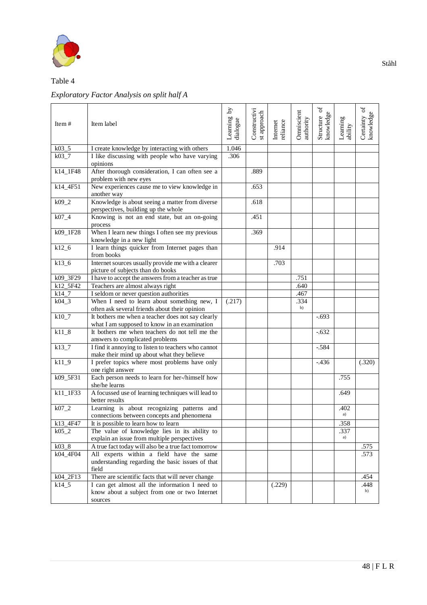

# Table 4 *Exploratory Factor Analysis on split half A*

| Item#    | Item label                                                                  | λá<br>Learning<br>dialogue | Constructivi<br>st approach | reliance<br>Internet | Onniscient<br>authority | ð<br>knowledge<br>Structure | $\begin{array}{c}\text{Learning} \\ \text{ability}\end{array}$ | Certainty of<br>knowledge |
|----------|-----------------------------------------------------------------------------|----------------------------|-----------------------------|----------------------|-------------------------|-----------------------------|----------------------------------------------------------------|---------------------------|
| $k03_5$  | I create knowledge by interacting with others                               | 1.046                      |                             |                      |                         |                             |                                                                |                           |
| k037     | I like discussing with people who have varying                              | .306                       |                             |                      |                         |                             |                                                                |                           |
|          | opinions                                                                    |                            |                             |                      |                         |                             |                                                                |                           |
| k14_1F48 | After thorough consideration, I can often see a<br>problem with new eyes    |                            | .889                        |                      |                         |                             |                                                                |                           |
| k14_4F51 | New experiences cause me to view knowledge in                               |                            | .653                        |                      |                         |                             |                                                                |                           |
|          | another way                                                                 |                            |                             |                      |                         |                             |                                                                |                           |
| $k09_2$  | Knowledge is about seeing a matter from diverse                             |                            | .618                        |                      |                         |                             |                                                                |                           |
|          | perspectives, building up the whole                                         |                            |                             |                      |                         |                             |                                                                |                           |
|          |                                                                             |                            |                             |                      |                         |                             |                                                                |                           |
| $k07_4$  | Knowing is not an end state, but an on-going                                |                            | .451                        |                      |                         |                             |                                                                |                           |
|          | process                                                                     |                            |                             |                      |                         |                             |                                                                |                           |
| k09_1F28 | When I learn new things I often see my previous<br>knowledge in a new light |                            | .369                        |                      |                         |                             |                                                                |                           |
|          |                                                                             |                            |                             |                      |                         |                             |                                                                |                           |
| $k12_6$  | I learn things quicker from Internet pages than<br>from books               |                            |                             | .914                 |                         |                             |                                                                |                           |
| $k13_6$  | Internet sources usually provide me with a clearer                          |                            |                             | .703                 |                         |                             |                                                                |                           |
|          | picture of subjects than do books                                           |                            |                             |                      |                         |                             |                                                                |                           |
| k09_3F29 | I have to accept the answers from a teacher as true                         |                            |                             |                      | .751                    |                             |                                                                |                           |
| k12_5F42 | Teachers are almost always right                                            |                            |                             |                      | .640                    |                             |                                                                |                           |
| $k14_7$  | I seldom or never question authorities                                      |                            |                             |                      | .467                    |                             |                                                                |                           |
| $k04_3$  | When I need to learn about something new, I                                 | (.217)                     |                             |                      | .334                    |                             |                                                                |                           |
|          | often ask several friends about their opinion                               |                            |                             |                      | b)                      |                             |                                                                |                           |
| $k10_7$  | It bothers me when a teacher does not say clearly                           |                            |                             |                      |                         | $-.693$                     |                                                                |                           |
|          | what I am supposed to know in an examination                                |                            |                             |                      |                         |                             |                                                                |                           |
| $k11_8$  | It bothers me when teachers do not tell me the                              |                            |                             |                      |                         | $-.632$                     |                                                                |                           |
|          | answers to complicated problems                                             |                            |                             |                      |                         |                             |                                                                |                           |
| $k13_7$  | I find it annoying to listen to teachers who cannot                         |                            |                             |                      |                         | $-.584$                     |                                                                |                           |
|          | make their mind up about what they believe                                  |                            |                             |                      |                         |                             |                                                                |                           |
| $k11_9$  | I prefer topics where most problems have only                               |                            |                             |                      |                         | $-436$                      |                                                                | (.320)                    |
|          | one right answer                                                            |                            |                             |                      |                         |                             |                                                                |                           |
| k09_5F31 | Each person needs to learn for her-/himself how                             |                            |                             |                      |                         |                             | .755                                                           |                           |
|          | she/he learns                                                               |                            |                             |                      |                         |                             |                                                                |                           |
| k11_1F33 | A focussed use of learning techniques will lead to                          |                            |                             |                      |                         |                             | .649                                                           |                           |
|          | better results                                                              |                            |                             |                      |                         |                             |                                                                |                           |
| $k07_2$  | Learning is about recognizing patterns and                                  |                            |                             |                      |                         |                             | .402                                                           |                           |
|          | connections between concepts and phenomena                                  |                            |                             |                      |                         |                             | a)                                                             |                           |
| k13_4F47 | It is possible to learn how to learn                                        |                            |                             |                      |                         |                             | .358                                                           |                           |
| $k05_2$  | The value of knowledge lies in its ability to                               |                            |                             |                      |                         |                             | .337                                                           |                           |
|          | explain an issue from multiple perspectives                                 |                            |                             |                      |                         |                             | a)                                                             |                           |
| $k03_8$  | A true fact today will also be a true fact tomorrow                         |                            |                             |                      |                         |                             |                                                                | .575                      |
| k04_4F04 | All experts within a field have the same                                    |                            |                             |                      |                         |                             |                                                                | .573                      |
|          | understanding regarding the basic issues of that                            |                            |                             |                      |                         |                             |                                                                |                           |
|          | field                                                                       |                            |                             |                      |                         |                             |                                                                |                           |
| k04_2F13 | There are scientific facts that will never change                           |                            |                             |                      |                         |                             |                                                                | .454                      |
| $k14_5$  | I can get almost all the information I need to                              |                            |                             | (.229)               |                         |                             |                                                                | .448                      |
|          | know about a subject from one or two Internet                               |                            |                             |                      |                         |                             |                                                                | b)                        |
|          | sources                                                                     |                            |                             |                      |                         |                             |                                                                |                           |
|          |                                                                             |                            |                             |                      |                         |                             |                                                                |                           |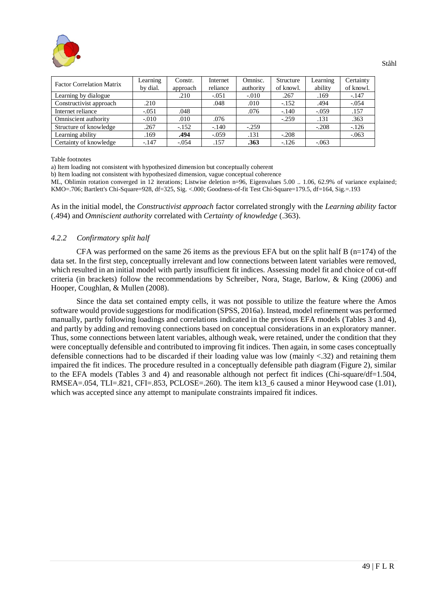

| <b>Factor Correlation Matrix</b> | Learning | Constr.  | Internet | Omnisc.   | Structure | Learning | Certainty |
|----------------------------------|----------|----------|----------|-----------|-----------|----------|-----------|
|                                  | by dial. | approach | reliance | authority | of knowl. | ability  | of knowl. |
| Learning by dialogue             |          | .210     | $-.051$  | $-.010$   | .267      | .169     | $-.147$   |
| Constructivist approach          | .210     |          | .048     | .010      | $-.152$   | .494     | $-.054$   |
| Internet reliance                | $-.051$  | .048     |          | .076      | $-.140$   | $-.059$  | .157      |
| Omniscient authority             | $-.010$  | .010     | .076     |           | $-.259$   | .131     | .363      |
| Structure of knowledge           | .267     | $-152$   | $-.140$  | $-.259$   |           | $-.208$  | $-.126$   |
| Learning ability                 | .169     | .494     | $-.059$  | .131      | $-.208$   |          | $-.063$   |
| Certainty of knowledge           | $-.147$  | $-.054$  | .157     | .363      | $-126$    | $-.063$  |           |

Table footnotes

a) Item loading not consistent with hypothesized dimension but conceptually coherent

b) Item loading not consistent with hypothesized dimension, vague conceptual coherence

ML, Oblimin rotation converged in 12 iterations; Listwise deletion n=96, Eigenvalues 5.00 .. 1.06, 62.9% of variance explained; KMO=.706; Bartlett's Chi-Square=928, df=325, Sig. <.000; Goodness-of-fit Test Chi-Square=179.5, df=164, Sig.=.193

As in the initial model, the *Constructivist approach* factor correlated strongly with the *Learning ability* factor (.494) and *Omniscient authority* correlated with *Certainty of knowledge* (.363).

#### *4.2.2 Confirmatory split half*

CFA was performed on the same 26 items as the previous EFA but on the split half B ( $n=174$ ) of the data set. In the first step, conceptually irrelevant and low connections between latent variables were removed, which resulted in an initial model with partly insufficient fit indices. Assessing model fit and choice of cut-off criteria (in brackets) follow the recommendations by Schreiber, Nora, Stage, Barlow, & King (2006) and Hooper, Coughlan, & Mullen (2008).

Since the data set contained empty cells, it was not possible to utilize the feature where the Amos software would provide suggestions for modification (SPSS, 2016a). Instead, model refinement was performed manually, partly following loadings and correlations indicated in the previous EFA models (Tables 3 and 4), and partly by adding and removing connections based on conceptual considerations in an exploratory manner. Thus, some connections between latent variables, although weak, were retained, under the condition that they were conceptually defensible and contributed to improving fit indices. Then again, in some cases conceptually defensible connections had to be discarded if their loading value was low (mainly <.32) and retaining them impaired the fit indices. The procedure resulted in a conceptually defensible path diagram (Figure 2), similar to the EFA models (Tables 3 and 4) and reasonable although not perfect fit indices (Chi-square/df=1.504, RMSEA=.054, TLI=.821, CFI=.853, PCLOSE=.260). The item k13\_6 caused a minor Heywood case (1.01), which was accepted since any attempt to manipulate constraints impaired fit indices.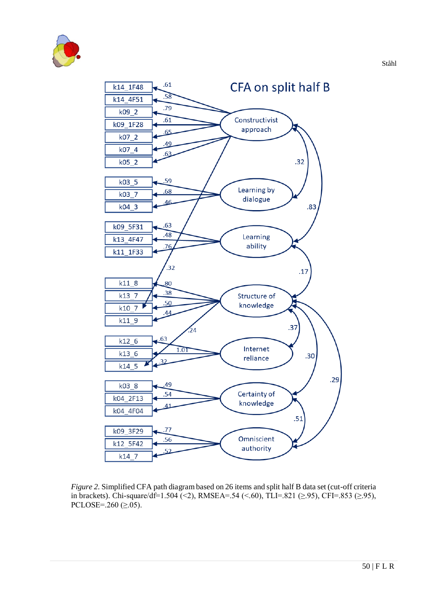



*Figure 2.* Simplified CFA path diagram based on 26 items and split half B data set (cut-off criteria in brackets). Chi-square/df=1.504 (<2), RMSEA=.54 (<.60), TLI=.821 (≥.95), CFI=.853 (≥.95), PCLOSE= $.260$  ( $\geq .05$ ).

Ståhl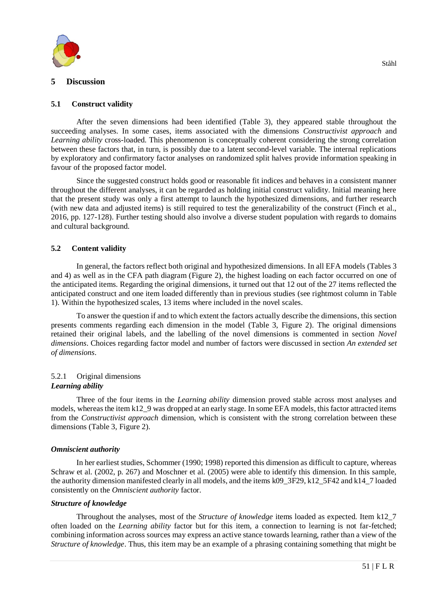

# **5 Discussion**

# **5.1 Construct validity**

After the seven dimensions had been identified (Table 3), they appeared stable throughout the succeeding analyses. In some cases, items associated with the dimensions *Constructivist approach* and *Learning ability* cross-loaded. This phenomenon is conceptually coherent considering the strong correlation between these factors that, in turn, is possibly due to a latent second-level variable. The internal replications by exploratory and confirmatory factor analyses on randomized split halves provide information speaking in favour of the proposed factor model.

Since the suggested construct holds good or reasonable fit indices and behaves in a consistent manner throughout the different analyses, it can be regarded as holding initial construct validity. Initial meaning here that the present study was only a first attempt to launch the hypothesized dimensions, and further research (with new data and adjusted items) is still required to test the generalizability of the construct (Finch et al., 2016, pp. 127-128). Further testing should also involve a diverse student population with regards to domains and cultural background.

# **5.2 Content validity**

In general, the factors reflect both original and hypothesized dimensions. In all EFA models (Tables 3 and 4) as well as in the CFA path diagram (Figure 2), the highest loading on each factor occurred on one of the anticipated items. Regarding the original dimensions, it turned out that 12 out of the 27 items reflected the anticipated construct and one item loaded differently than in previous studies (see rightmost column in Table 1). Within the hypothesized scales, 13 items where included in the novel scales.

To answer the question if and to which extent the factors actually describe the dimensions, this section presents comments regarding each dimension in the model (Table 3, Figure 2). The original dimensions retained their original labels, and the labelling of the novel dimensions is commented in section *[Novel](#page-25-0)  [dimensions](#page-25-0)*. Choices regarding factor model and number of factors were discussed in section *[An extended](#page-17-0) set [of dimensions](#page-17-0)*.

# 5.2.1 Original dimensions *Learning ability*

Three of the four items in the *Learning ability* dimension proved stable across most analyses and models, whereas the item k12\_9 was dropped at an early stage. In some EFA models, this factor attracted items from the *Constructivist approach* dimension, which is consistent with the strong correlation between these dimensions (Table 3, Figure 2).

# *Omniscient authority*

In her earliest studies, Schommer (1990; 1998) reported this dimension as difficult to capture, whereas Schraw et al. (2002, p. 267) and Moschner et al. (2005) were able to identify this dimension. In this sample, the authority dimension manifested clearly in all models, and the items k09\_3F29, k12\_5F42 and k14\_7 loaded consistently on the *Omniscient authority* factor.

#### *Structure of knowledge*

Throughout the analyses, most of the *Structure of knowledge* items loaded as expected. Item k12\_7 often loaded on the *Learning ability* factor but for this item, a connection to learning is not far-fetched; combining information across sources may express an active stance towards learning, rather than a view of the *Structure of knowledge*. Thus, this item may be an example of a phrasing containing something that might be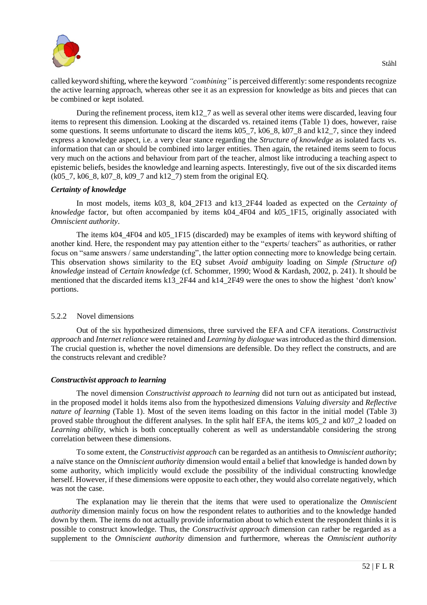called keyword shifting, where the keyword *"combining"* is perceived differently: some respondents recognize the active learning approach, whereas other see it as an expression for knowledge as bits and pieces that can be combined or kept isolated.

During the refinement process, item k12\_7 as well as several other items were discarded, leaving four items to represent this dimension. Looking at the discarded vs. retained items (Table 1) does, however, raise some questions. It seems unfortunate to discard the items k05\_7, k06\_8, k07\_8 and k12\_7, since they indeed express a knowledge aspect, i.e. a very clear stance regarding the *Structure of knowledge* as isolated facts vs. information that can or should be combined into larger entities. Then again, the retained items seem to focus very much on the actions and behaviour from part of the teacher, almost like introducing a teaching aspect to epistemic beliefs, besides the knowledge and learning aspects. Interestingly, five out of the six discarded items (k05\_7, k06\_8, k07\_8, k09\_7 and k12\_7) stem from the original EQ.

# *Certainty of knowledge*

In most models, items k03\_8, k04\_2F13 and k13\_2F44 loaded as expected on the *Certainty of knowledge* factor, but often accompanied by items k04\_4F04 and k05\_1F15, originally associated with *Omniscient authority*.

The items k04\_4F04 and k05\_1F15 (discarded) may be examples of items with keyword shifting of another kind. Here, the respondent may pay attention either to the "experts/ teachers" as authorities, or rather focus on "same answers / same understanding", the latter option connecting more to knowledge being certain. This observation shows similarity to the EQ subset *Avoid ambiguity* loading on *Simple (Structure of) knowledge* instead of *Certain knowledge* (cf. Schommer, 1990; Wood & Kardash, 2002, p. 241). It should be mentioned that the discarded items k13\_2F44 and k14\_2F49 were the ones to show the highest 'don't know' portions.

# <span id="page-25-0"></span>5.2.2 Novel dimensions

Out of the six hypothesized dimensions, three survived the EFA and CFA iterations. *Constructivist approach* and *Internet reliance* were retained and *Learning by dialogue* was introduced as the third dimension. The crucial question is, whether the novel dimensions are defensible. Do they reflect the constructs, and are the constructs relevant and credible?

# *Constructivist approach to learning*

The novel dimension *Constructivist approach to learning* did not turn out as anticipated but instead, in the proposed model it holds items also from the hypothesized dimensions *Valuing diversity* and *Reflective nature of learning* (Table 1). Most of the seven items loading on this factor in the initial model (Table 3) proved stable throughout the different analyses. In the split half EFA, the items k05\_2 and k07\_2 loaded on *Learning ability*, which is both conceptually coherent as well as understandable considering the strong correlation between these dimensions.

To some extent, the *Constructivist approach* can be regarded as an antithesis to *Omniscient authority*; a naïve stance on the *Omniscient authority* dimension would entail a belief that knowledge is handed down by some authority, which implicitly would exclude the possibility of the individual constructing knowledge herself. However, if these dimensions were opposite to each other, they would also correlate negatively, which was not the case.

The explanation may lie therein that the items that were used to operationalize the *Omniscient authority* dimension mainly focus on how the respondent relates to authorities and to the knowledge handed down by them. The items do not actually provide information about to which extent the respondent thinks it is possible to construct knowledge. Thus, the *Constructivist approach* dimension can rather be regarded as a supplement to the *Omniscient authority* dimension and furthermore, whereas the *Omniscient authority*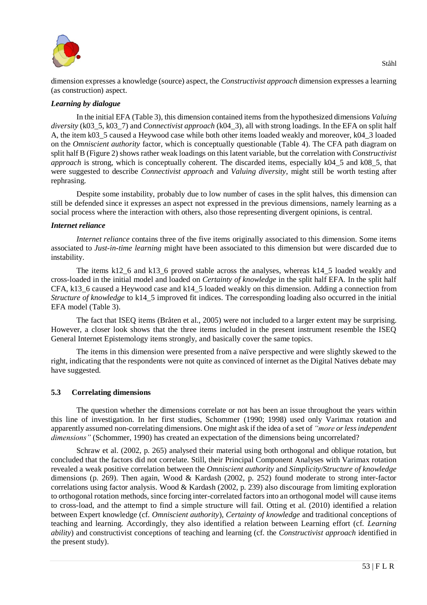

dimension expresses a knowledge (source) aspect, the *Constructivist approach* dimension expresses a learning (as construction) aspect.

#### *Learning by dialogue*

In the initial EFA (Table 3), this dimension contained items from the hypothesized dimensions *Valuing diversity* (k03\_5, k03\_7) and *Connectivist approach* (k04\_3), all with strong loadings. In the EFA on split half A, the item k03\_5 caused a Heywood case while both other items loaded weakly and moreover, k04\_3 loaded on the *Omniscient authority* factor, which is conceptually questionable (Table 4). The CFA path diagram on split half B (Figure 2) shows rather weak loadings on this latent variable, but the correlation with *Constructivist approach* is strong, which is conceptually coherent. The discarded items, especially k04\_5 and k08\_5, that were suggested to describe *Connectivist approach* and *Valuing diversity*, might still be worth testing after rephrasing.

Despite some instability, probably due to low number of cases in the split halves, this dimension can still be defended since it expresses an aspect not expressed in the previous dimensions, namely learning as a social process where the interaction with others, also those representing divergent opinions, is central.

#### *Internet reliance*

*Internet reliance* contains three of the five items originally associated to this dimension. Some items associated to *Just-in-time learning* might have been associated to this dimension but were discarded due to instability.

The items k12\_6 and k13\_6 proved stable across the analyses, whereas k14\_5 loaded weakly and cross-loaded in the initial model and loaded on *Certainty of knowledge* in the split half EFA. In the split half CFA, k13\_6 caused a Heywood case and k14\_5 loaded weakly on this dimension. Adding a connection from *Structure of knowledge* to k14\_5 improved fit indices. The corresponding loading also occurred in the initial EFA model (Table 3).

The fact that ISEQ items (Bråten et al., 2005) were not included to a larger extent may be surprising. However, a closer look shows that the three items included in the present instrument resemble the ISEQ General Internet Epistemology items strongly, and basically cover the same topics.

The items in this dimension were presented from a naïve perspective and were slightly skewed to the right, indicating that the respondents were not quite as convinced of internet as the Digital Natives debate may have suggested.

# <span id="page-26-0"></span>**5.3 Correlating dimensions**

The question whether the dimensions correlate or not has been an issue throughout the years within this line of investigation. In her first studies, Schommer (1990; 1998) used only Varimax rotation and apparently assumed non-correlating dimensions. One might ask if the idea of a set of *"more or less independent dimensions"* (Schommer, 1990) has created an expectation of the dimensions being uncorrelated?

Schraw et al. (2002, p. 265) analysed their material using both orthogonal and oblique rotation, but concluded that the factors did not correlate. Still, their Principal Component Analyses with Varimax rotation revealed a weak positive correlation between the *Omniscient authority* and *Simplicity/Structure of knowledge* dimensions (p. 269). Then again, Wood & Kardash (2002, p. 252) found moderate to strong inter-factor correlations using factor analysis. Wood & Kardash (2002, p. 239) also discourage from limiting exploration to orthogonal rotation methods, since forcing inter-correlated factors into an orthogonal model will cause items to cross-load, and the attempt to find a simple structure will fail. Otting et al. (2010) identified a relation between Expert knowledge (cf. *Omniscient authority*), *Certainty of knowledge* and traditional conceptions of teaching and learning. Accordingly, they also identified a relation between Learning effort (cf. *Learning ability*) and constructivist conceptions of teaching and learning (cf. the *Constructivist approach* identified in the present study).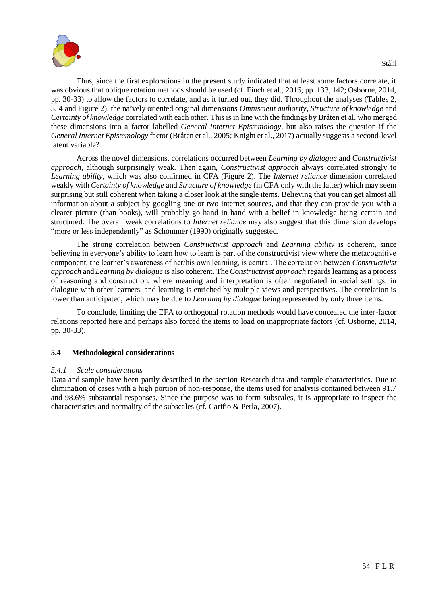

Thus, since the first explorations in the present study indicated that at least some factors correlate, it was obvious that oblique rotation methods should be used (cf. Finch et al., 2016, pp. 133, 142; Osborne, 2014, pp. 30-33) to allow the factors to correlate, and as it turned out, they did. Throughout the analyses (Tables 2, 3, 4 and Figure 2), the naïvely oriented original dimensions *Omniscient authority*, *Structure of knowledge* and *Certainty of knowledge* correlated with each other. This is in line with the findings by Bråten et al. who merged these dimensions into a factor labelled *General Internet Epistemology*, but also raises the question if the *General Internet Epistemology* factor (Bråten et al., 2005; Knight et al., 2017) actually suggests a second-level latent variable?

Across the novel dimensions, correlations occurred between *Learning by dialogue* and *Constructivist approach*, although surprisingly weak. Then again, *Constructivist approach* always correlated strongly to *Learning ability*, which was also confirmed in CFA (Figure 2). The *Internet reliance* dimension correlated weakly with *Certainty of knowledge* and *Structure of knowledge* (in CFA only with the latter) which may seem surprising but still coherent when taking a closer look at the single items. Believing that you can get almost all information about a subject by googling one or two internet sources, and that they can provide you with a clearer picture (than books), will probably go hand in hand with a belief in knowledge being certain and structured. The overall weak correlations to *Internet reliance* may also suggest that this dimension develops "more or less independently" as Schommer (1990) originally suggested.

The strong correlation between *Constructivist approach* and *Learning ability* is coherent, since believing in everyone's ability to learn how to learn is part of the constructivist view where the metacognitive component, the learner's awareness of her/his own learning, is central. The correlation between *Constructivist approach* and *Learning by dialogue* is also coherent. The *Constructivist approach* regards learning as a process of reasoning and construction, where meaning and interpretation is often negotiated in social settings, in dialogue with other learners, and learning is enriched by multiple views and perspectives. The correlation is lower than anticipated, which may be due to *Learning by dialogue* being represented by only three items.

To conclude, limiting the EFA to orthogonal rotation methods would have concealed the inter-factor relations reported here and perhaps also forced the items to load on inappropriate factors (cf. Osborne, 2014, pp. 30-33).

# **5.4 Methodological considerations**

#### *5.4.1 Scale considerations*

Data and sample have been partly described in the section [Research data and sample characteristics.](#page-15-0) Due to elimination of cases with a high portion of non-response, the items used for analysis contained between 91.7 and 98.6% substantial responses. Since the purpose was to form subscales, it is appropriate to inspect the characteristics and normality of the subscales (cf. Carifio & Perla, 2007).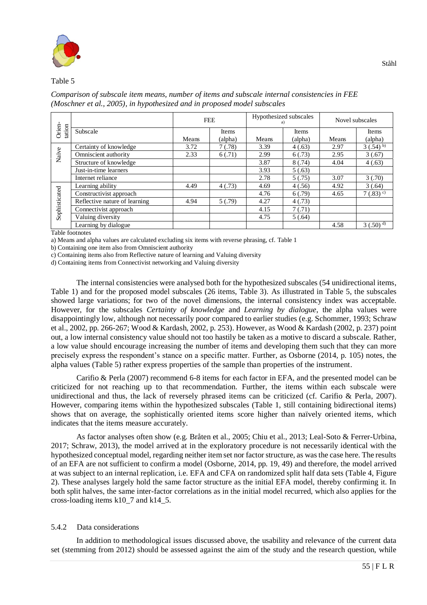

# Table 5

*Comparison of subscale item means, number of items and subscale internal consistencies in FEE (Moschner et al., 2005), in hypothesized and in proposed model subscales*

|                               | <b>FEE</b> |         |       |         | Novel subscales              |                        |  |
|-------------------------------|------------|---------|-------|---------|------------------------------|------------------------|--|
| Subscale                      |            | Items   |       | Items   |                              | Items                  |  |
|                               | Means      | (alpha) | Means | (alpha) | Means                        | (alpha)                |  |
| Certainty of knowledge        | 3.72       | 7(.78)  | 3.39  | 4(.63)  | 2.97                         | $3(.54)$ <sup>b)</sup> |  |
| Omniscient authority          | 2.33       | 6(.71)  | 2.99  | 6(.73)  | 2.95                         | 3(.67)                 |  |
| Structure of knowledge        |            |         | 3.87  | 8(.74)  | 4.04                         | 4(.63)                 |  |
| Just-in-time learners         |            |         | 3.93  | 5(.63)  |                              |                        |  |
| Internet reliance             |            |         | 2.78  | 5(.75)  | 3.07                         | 3(.70)                 |  |
| Learning ability              | 4.49       | 4(.73)  | 4.69  | 4(.56)  | 4.92                         | 3(.64)                 |  |
| Constructivist approach       |            |         | 4.76  | 6(.79)  | 4.65                         | $7(.83)$ <sup>c)</sup> |  |
| Reflective nature of learning | 4.94       | 5(.79)  | 4.27  | 4(.73)  |                              |                        |  |
| Connectivist approach         |            |         | 4.15  | 7(0.71) |                              |                        |  |
| Valuing diversity             |            |         | 4.75  | 5(.64)  |                              |                        |  |
| Learning by dialogue          |            |         |       |         | 4.58                         | $3(.50)^{d}$           |  |
|                               |            |         |       |         | Hypothesized subscales<br>a) |                        |  |

Table footnotes

a) Means and alpha values are calculated excluding six items with reverse phrasing, cf. Table 1

b) Containing one item also from Omniscient authority

c) Containing items also from Reflective nature of learning and Valuing diversity

d) Containing items from Connectivist networking and Valuing diversity

The internal consistencies were analysed both for the hypothesized subscales (54 unidirectional items, Table 1) and for the proposed model subscales (26 items, Table 3). As illustrated in Table 5, the subscales showed large variations; for two of the novel dimensions, the internal consistency index was acceptable. However, for the subscales *Certainty of knowledge* and *Learning by dialogue*, the alpha values were disappointingly low, although not necessarily poor compared to earlier studies (e.g. Schommer, 1993; Schraw et al., 2002, pp. 266-267; Wood & Kardash, 2002, p. 253). However, as Wood & Kardash (2002, p. 237) point out, a low internal consistency value should not too hastily be taken as a motive to discard a subscale. Rather, a low value should encourage increasing the number of items and developing them such that they can more precisely express the respondent's stance on a specific matter. Further, as Osborne (2014, p. 105) notes, the alpha values (Table 5) rather express properties of the sample than properties of the instrument.

Carifio & Perla (2007) recommend 6-8 items for each factor in EFA, and the presented model can be criticized for not reaching up to that recommendation. Further, the items within each subscale were unidirectional and thus, the lack of reversely phrased items can be criticized (cf. Carifio & Perla, 2007). However, comparing items within the hypothesized subscales (Table 1, still containing bidirectional items) shows that on average, the sophistically oriented items score higher than naïvely oriented items, which indicates that the items measure accurately.

As factor analyses often show (e.g. Bråten et al., 2005; Chiu et al., 2013; Leal-Soto & Ferrer-Urbina, 2017; Schraw, 2013), the model arrived at in the exploratory procedure is not necessarily identical with the hypothesized conceptual model, regarding neither item set nor factor structure, as was the case here. The results of an EFA are not sufficient to confirm a model (Osborne, 2014, pp. 19, 49) and therefore, the model arrived at was subject to an internal replication, i.e. EFA and CFA on randomized split half data sets (Table 4, Figure 2). These analyses largely hold the same factor structure as the initial EFA model, thereby confirming it. In both split halves, the same inter-factor correlations as in the initial model recurred, which also applies for the cross-loading items k10\_7 and k14\_5.

#### 5.4.2 Data considerations

In addition to methodological issues discussed above, the usability and relevance of the current data set (stemming from 2012) should be assessed against the aim of the study and the research question, while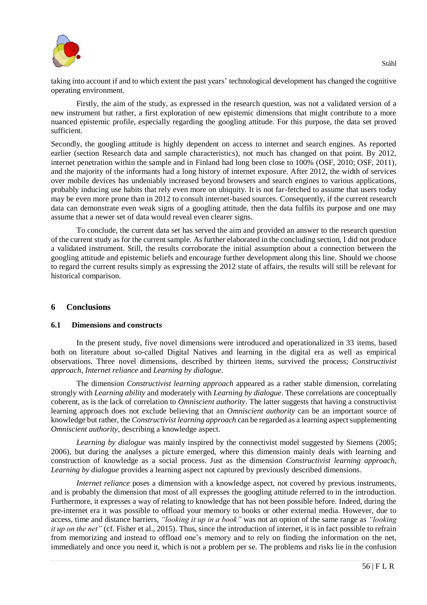

taking into account if and to which extent the past years' technological development has changed the cognitive operating environment.

Firstly, the aim of the study, as expressed in the research question, was not a validated version of a new instrument but rather, a first exploration of new epistemic dimensions that might contribute to a more nuanced epistemic profile, especially regarding the googling attitude. For this purpose, the data set proved sufficient.

Secondly, the googling attitude is highly dependent on access to internet and search engines. As reported earlier (section [Research data and sample characteristics\)](#page-15-0), not much has changed on that point. By 2012, internet penetration within the sample and in Finland had long been close to 100% (OSF, 2010; OSF, 2011), and the majority of the informants had a long history of internet exposure. After 2012, the width of services over mobile devices has undeniably increased beyond browsers and search engines to various applications, probably inducing use habits that rely even more on ubiquity. It is not far-fetched to assume that users today may be even more prone than in 2012 to consult internet-based sources. Consequently, if the current research data can demonstrate even weak signs of a googling attitude, then the data fulfils its purpose and one may assume that a newer set of data would reveal even clearer signs.

To conclude, the current data set has served the aim and provided an answer to the research question of the current study as for the current sample. As further elaborated in the concluding section, I did not produce a validated instrument. Still, the results corroborate the initial assumption about a connection between the googling attitude and epistemic beliefs and encourage further development along this line. Should we choose to regard the current results simply as expressing the 2012 state of affairs, the results will still be relevant for historical comparison.

# **6 Conclusions**

#### **6.1 Dimensions and constructs**

In the present study, five novel dimensions were introduced and operationalized in 33 items, based both on literature about so-called Digital Natives and learning in the digital era as well as empirical observations. Three novel dimensions, described by thirteen items, survived the process; *Constructivist approach, Internet reliance* and *Learning by dialogue*.

The dimension *Constructivist learning approach* appeared as a rather stable dimension, correlating strongly with *Learning ability* and moderately with *Learning by dialogue*. These correlations are conceptually coherent, as is the lack of correlation to *Omniscient authority*. The latter suggests that having a constructivist learning approach does not exclude believing that an *Omniscient authority* can be an important source of knowledge but rather, the *Constructivist learning approach* can be regarded as a learning aspect supplementing *Omniscient authority*, describing a knowledge aspect.

*Learning by dialogue* was mainly inspired by the connectivist model suggested by Siemens (2005; 2006), but during the analyses a picture emerged, where this dimension mainly deals with learning and construction of knowledge as a social process. Just as the dimension *Constructivist learning approach*, *Learning by dialogue* provides a learning aspect not captured by previously described dimensions.

*Internet reliance* poses a dimension with a knowledge aspect, not covered by previous instruments, and is probably the dimension that most of all expresses the googling attitude referred to in the introduction. Furthermore, it expresses a way of relating to knowledge that has not been possible before. Indeed, during the pre-internet era it was possible to offload your memory to books or other external media. However, due to access, time and distance barriers, *"looking it up in a book"* was not an option of the same range as *"looking it up on the net"* (cf. Fisher et al., 2015). Thus, since the introduction of internet, it is in fact possible to refrain from memorizing and instead to offload one's memory and to rely on finding the information on the net, immediately and once you need it, which is not a problem per se. The problems and risks lie in the confusion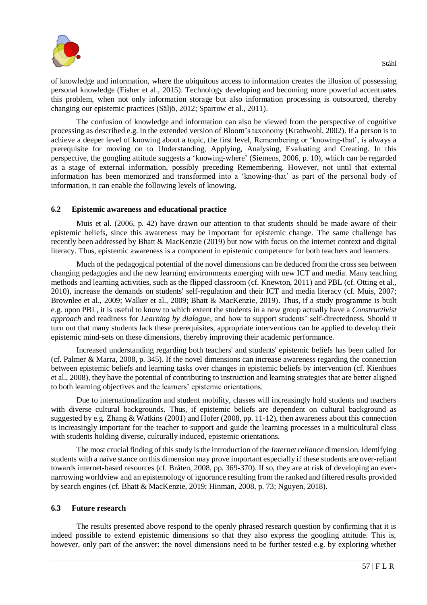

of knowledge and information, where the ubiquitous access to information creates the illusion of possessing personal knowledge (Fisher et al., 2015). Technology developing and becoming more powerful accentuates this problem, when not only information storage but also information processing is outsourced, thereby changing our epistemic practices (Säljö, 2012; Sparrow et al., 2011).

The confusion of knowledge and information can also be viewed from the perspective of cognitive processing as described e.g. in the extended version of Bloom's taxonomy (Krathwohl, 2002). If a person is to achieve a deeper level of knowing about a topic, the first level, Remembering or 'knowing-that', is always a prerequisite for moving on to Understanding, Applying, Analysing, Evaluating and Creating. In this perspective, the googling attitude suggests a 'knowing-where' (Siemens, 2006, p. 10), which can be regarded as a stage of external information, possibly preceding Remembering. However, not until that external information has been memorized and transformed into a 'knowing-that' as part of the personal body of information, it can enable the following levels of knowing.

# **6.2 Epistemic awareness and educational practice**

Muis et al. (2006, p. 42) have drawn our attention to that students should be made aware of their epistemic beliefs, since this awareness may be important for epistemic change. The same challenge has recently been addressed by Bhatt & MacKenzie (2019) but now with focus on the internet context and digital literacy. Thus, epistemic awareness is a component in epistemic competence for both teachers and learners.

Much of the pedagogical potential of the novel dimensions can be deduced from the cross sea between changing pedagogies and the new learning environments emerging with new ICT and media. Many teaching methods and learning activities, such as the flipped classroom (cf. Knewton, 2011) and PBL (cf. Otting et al., 2010), increase the demands on students' self-regulation and their ICT and media literacy (cf. Muis, 2007; Brownlee et al., 2009; Walker et al., 2009; Bhatt & MacKenzie, 2019). Thus, if a study programme is built e.g. upon PBL, it is useful to know to which extent the students in a new group actually have a *Constructivist approach* and readiness for *Learning by dialogue*, and how to support students' self-directedness. Should it turn out that many students lack these prerequisites, appropriate interventions can be applied to develop their epistemic mind-sets on these dimensions, thereby improving their academic performance.

Increased understanding regarding both teachers' and students' epistemic beliefs has been called for (cf. Palmer & Marra, 2008, p. 345). If the novel dimensions can increase awareness regarding the connection between epistemic beliefs and learning tasks over changes in epistemic beliefs by intervention (cf. Kienhues et al., 2008), they have the potential of contributing to instruction and learning strategies that are better aligned to both learning objectives and the learners' epistemic orientations.

Due to internationalization and student mobility, classes will increasingly hold students and teachers with diverse cultural backgrounds. Thus, if epistemic beliefs are dependent on cultural background as suggested by e.g. Zhang & Watkins (2001) and Hofer (2008, pp. 11-12), then awareness about this connection is increasingly important for the teacher to support and guide the learning processes in a multicultural class with students holding diverse, culturally induced, epistemic orientations.

The most crucial finding of this study is the introduction of the *Internet reliance* dimension. Identifying students with a naïve stance on this dimension may prove important especially if these students are over-reliant towards internet-based resources (cf. Bråten, 2008, pp. 369-370). If so, they are at risk of developing an evernarrowing worldview and an epistemology of ignorance resulting from the ranked and filtered results provided by search engines (cf. Bhatt & MacKenzie, 2019; Hinman, 2008, p. 73; Nguyen, 2018).

#### **6.3 Future research**

The results presented above respond to the openly phrased research question by confirming that it is indeed possible to extend epistemic dimensions so that they also express the googling attitude. This is, however, only part of the answer: the novel dimensions need to be further tested e.g. by exploring whether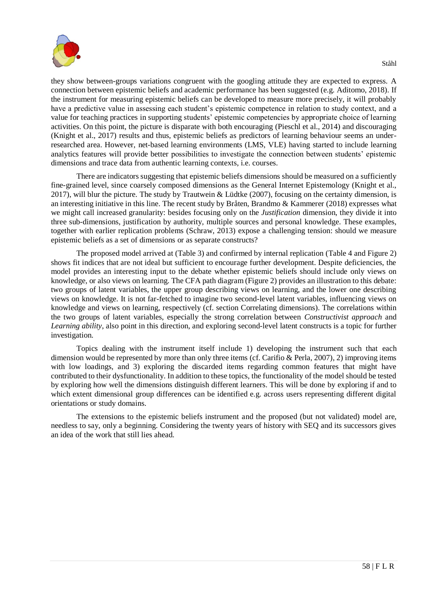

they show between-groups variations congruent with the googling attitude they are expected to express. A connection between epistemic beliefs and academic performance has been suggested (e.g. Aditomo, 2018). If the instrument for measuring epistemic beliefs can be developed to measure more precisely, it will probably have a predictive value in assessing each student's epistemic competence in relation to study context, and a value for teaching practices in supporting students' epistemic competencies by appropriate choice of learning activities. On this point, the picture is disparate with both encouraging (Pieschl et al., 2014) and discouraging (Knight et al., 2017) results and thus, epistemic beliefs as predictors of learning behaviour seems an underresearched area. However, net-based learning environments (LMS, VLE) having started to include learning analytics features will provide better possibilities to investigate the connection between students' epistemic dimensions and trace data from authentic learning contexts, i.e. courses.

There are indicators suggesting that epistemic beliefs dimensions should be measured on a sufficiently fine-grained level, since coarsely composed dimensions as the General Internet Epistemology (Knight et al., 2017), will blur the picture. The study by Trautwein & Lüdtke (2007), focusing on the certainty dimension, is an interesting initiative in this line. The recent study by Bråten, Brandmo & Kammerer (2018) expresses what we might call increased granularity: besides focusing only on the *Justification* dimension, they divide it into three sub-dimensions, justification by authority, multiple sources and personal knowledge. These examples, together with earlier replication problems (Schraw, 2013) expose a challenging tension: should we measure epistemic beliefs as a set of dimensions or as separate constructs?

The proposed model arrived at (Table 3) and confirmed by internal replication (Table 4 and Figure 2) shows fit indices that are not ideal but sufficient to encourage further development. Despite deficiencies, the model provides an interesting input to the debate whether epistemic beliefs should include only views on knowledge, or also views on learning. The CFA path diagram (Figure 2) provides an illustration to this debate: two groups of latent variables, the upper group describing views on learning, and the lower one describing views on knowledge. It is not far-fetched to imagine two second-level latent variables, influencing views on knowledge and views on learning, respectively (cf. section [Correlating dimensions\)](#page-26-0). The correlations within the two groups of latent variables, especially the strong correlation between *Constructivist approach* and *Learning ability*, also point in this direction, and exploring second-level latent constructs is a topic for further investigation.

Topics dealing with the instrument itself include 1) developing the instrument such that each dimension would be represented by more than only three items (cf. Carifio  $\&$  Perla, 2007), 2) improving items with low loadings, and 3) exploring the discarded items regarding common features that might have contributed to their dysfunctionality. In addition to these topics, the functionality of the model should be tested by exploring how well the dimensions distinguish different learners. This will be done by exploring if and to which extent dimensional group differences can be identified e.g. across users representing different digital orientations or study domains.

The extensions to the epistemic beliefs instrument and the proposed (but not validated) model are, needless to say, only a beginning. Considering the twenty years of history with SEQ and its successors gives an idea of the work that still lies ahead.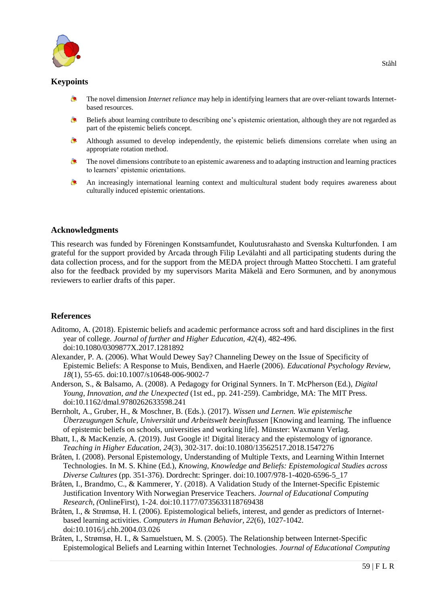

# **Keypoints**

- **C** The novel dimension *Internet reliance* may help in identifying learners that are over-reliant towards Internetbased resources.
- O Beliefs about learning contribute to describing one's epistemic orientation, although they are not regarded as part of the epistemic beliefs concept.
- **C** Although assumed to develop independently, the epistemic beliefs dimensions correlate when using an appropriate rotation method.
- **O** The novel dimensions contribute to an epistemic awareness and to adapting instruction and learning practices to learners' epistemic orientations.
- $\bullet$ An increasingly international learning context and multicultural student body requires awareness about culturally induced epistemic orientations.

# **Acknowledgments**

This research was funded by Föreningen Konstsamfundet, Koulutusrahasto and Svenska Kulturfonden. I am grateful for the support provided by Arcada through Filip Levälahti and all participating students during the data collection process, and for the support from the MEDA project through Matteo Stocchetti. I am grateful also for the feedback provided by my supervisors Marita Mäkelä and Eero Sormunen, and by anonymous reviewers to earlier drafts of this paper.

#### **References**

- Aditomo, A. (2018). Epistemic beliefs and academic performance across soft and hard disciplines in the first year of college. *Journal of further and Higher Education, 42*(4), 482-496. doi:10.1080/0309877X.2017.1281892
- Alexander, P. A. (2006). What Would Dewey Say? Channeling Dewey on the Issue of Specificity of Epistemic Beliefs: A Response to Muis, Bendixen, and Haerle (2006). *Educational Psychology Review, 18*(1), 55-65. doi:10.1007/s10648-006-9002-7
- Anderson, S., & Balsamo, A. (2008). A Pedagogy for Original Synners. In T. McPherson (Ed.), *Digital Young, Innovation, and the Unexpected* (1st ed., pp. 241-259). Cambridge, MA: The MIT Press. doi:10.1162/dmal.9780262633598.241
- Bernholt, A., Gruber, H., & Moschner, B. (Eds.). (2017). *Wissen und Lernen. Wie epistemische Überzeugungen Schule, Universität und Arbeitswelt beeinflussen* [Knowing and learning. The influence of epistemic beliefs on schools, universities and working life]. Münster: Waxmann Verlag.
- Bhatt, I., & MacKenzie, A. (2019). Just Google it! Digital literacy and the epistemology of ignorance. *Teaching in Higher Education, 24*(3), 302-317. doi:10.1080/13562517.2018.1547276
- Bråten, I. (2008). Personal Epistemology, Understanding of Multiple Texts, and Learning Within Internet Technologies. In M. S. Khine (Ed.), *Knowing, Knowledge and Beliefs: Epistemological Studies across Diverse Cultures* (pp. 351-376). Dordrecht: Springer. doi:10.1007/978-1-4020-6596-5\_17
- Bråten, I., Brandmo, C., & Kammerer, Y. (2018). A Validation Study of the Internet-Specific Epistemic Justification Inventory With Norwegian Preservice Teachers. *Journal of Educational Computing Research, (*OnlineFirst), 1-24. doi:10.1177/0735633118769438
- Bråten, I., & Strømsø, H. I. (2006). Epistemological beliefs, interest, and gender as predictors of Internetbased learning activities. *Computers in Human Behavior, 22*(6), 1027-1042. doi:10.1016/j.chb.2004.03.026
- Bråten, I., Strømsø, H. I., & Samuelstuen, M. S. (2005). The Relationship between Internet-Specific Epistemological Beliefs and Learning within Internet Technologies. *Journal of Educational Computing*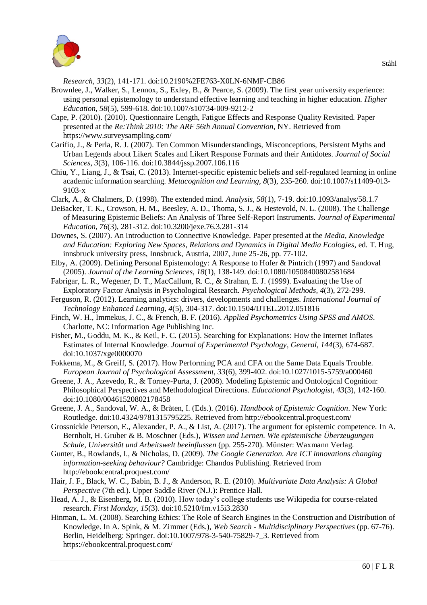

*Research, 33*(2), 141-171. doi:10.2190%2FE763-X0LN-6NMF-CB86

- Brownlee, J., Walker, S., Lennox, S., Exley, B., & Pearce, S. (2009). The first year university experience: using personal epistemology to understand effective learning and teaching in higher education. *Higher Education, 58*(5), 599-618. doi:10.1007/s10734-009-9212-2
- Cape, P. (2010). (2010). Questionnaire Length, Fatigue Effects and Response Quality Revisited. Paper presented at the *Re:Think 2010: The ARF 56th Annual Convention,* NY. Retrieved from https://www.surveysampling.com/
- Carifio, J., & Perla, R. J. (2007). Ten Common Misunderstandings, Misconceptions, Persistent Myths and Urban Legends about Likert Scales and Likert Response Formats and their Antidotes. *Journal of Social Sciences, 3*(3), 106-116. doi:10.3844/jssp.2007.106.116
- Chiu, Y., Liang, J., & Tsai, C. (2013). Internet-specific epistemic beliefs and self-regulated learning in online academic information searching. *Metacognition and Learning, 8*(3), 235-260. doi:10.1007/s11409-013- 9103-x
- Clark, A., & Chalmers, D. (1998). The extended mind. *Analysis, 58*(1), 7-19. doi:10.1093/analys/58.1.7
- DeBacker, T. K., Crowson, H. M., Beesley, A. D., Thoma, S. J., & Hestevold, N. L. (2008). The Challenge of Measuring Epistemic Beliefs: An Analysis of Three Self-Report Instruments. *Journal of Experimental Education, 76*(3), 281-312. doi:10.3200/jexe.76.3.281-314
- Downes, S. (2007). An Introduction to Connective Knowledge. Paper presented at the *Media, Knowledge and Education: Exploring New Spaces, Relations and Dynamics in Digital Media Ecologies,* ed. T. Hug, innsbruck university press, Innsbruck, Austria, 2007, June 25-26, pp. 77-102.
- Elby, A. (2009). Defining Personal Epistemology: A Response to Hofer & Pintrich (1997) and Sandoval (2005). *Journal of the Learning Sciences, 18*(1), 138-149. doi:10.1080/10508400802581684
- Fabrigar, L. R., Wegener, D. T., MacCallum, R. C., & Strahan, E. J. (1999). Evaluating the Use of Exploratory Factor Analysis in Psychological Research. *Psychological Methods, 4*(3), 272-299.
- Ferguson, R. (2012). Learning analytics: drivers, developments and challenges. *International Journal of Technology Enhanced Learning, 4*(5), 304-317. doi:10.1504/IJTEL.2012.051816
- Finch, W. H., Immekus, J. C., & French, B. F. (2016). *Applied Psychometrics Using SPSS and AMOS*. Charlotte, NC: Information Age Publishing Inc.
- Fisher, M., Goddu, M. K., & Keil, F. C. (2015). Searching for Explanations: How the Internet Inflates Estimates of Internal Knowledge. *Journal of Experimental Psychology, General, 144*(3), 674-687. doi:10.1037/xge0000070
- Fokkema, M., & Greiff, S. (2017). How Performing PCA and CFA on the Same Data Equals Trouble. *European Journal of Psychological Assessment, 33*(6), 399-402. doi:10.1027/1015-5759/a000460
- Greene, J. A., Azevedo, R., & Torney-Purta, J. (2008). Modeling Epistemic and Ontological Cognition: Philosophical Perspectives and Methodological Directions. *Educational Psychologist, 43*(3), 142-160. doi:10.1080/00461520802178458
- Greene, J. A., Sandoval, W. A., & Bråten, I. (Eds.). (2016). *Handbook of Epistemic Cognition*. New York: Routledge. doi:10.4324/9781315795225. Retrieved from http://ebookcentral.proquest.com/
- Grossnickle Peterson, E., Alexander, P. A., & List, A. (2017). The argument for epistemic competence. In A. Bernholt, H. Gruber & B. Moschner (Eds.), *Wissen und Lernen. Wie epistemische Überzeugungen Schule, Universität und Arbeitswelt beeinflussen* (pp. 255-270). Münster: Waxmann Verlag.
- Gunter, B., Rowlands, I., & Nicholas, D. (2009). *The Google Generation. Are ICT innovations changing information-seeking behaviour?* Cambridge: Chandos Publishing. Retrieved from http://ebookcentral.proquest.com/
- Hair, J. F., Black, W. C., Babin, B. J., & Anderson, R. E. (2010). *Multivariate Data Analysis: A Global Perspective* (7th ed.). Upper Saddle River (N.J.): Prentice Hall.
- Head, A. J., & Eisenberg, M. B. (2010). How today's college students use Wikipedia for course-related research. *First Monday, 15*(3). doi:10.5210/fm.v15i3.2830
- Hinman, L. M. (2008). Searching Ethics: The Role of Search Engines in the Construction and Distribution of Knowledge. In A. Spink, & M. Zimmer (Eds.), *Web Search - Multidisciplinary Perspectives* (pp. 67-76). Berlin, Heidelberg: Springer. doi:10.1007/978-3-540-75829-7\_3. Retrieved from https://ebookcentral.proquest.com/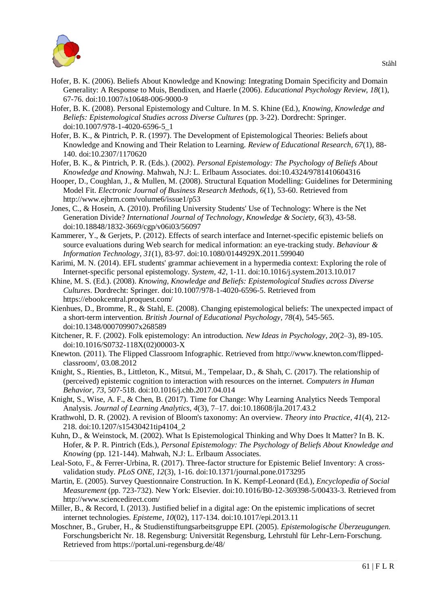

- Hofer, B. K. (2006). Beliefs About Knowledge and Knowing: Integrating Domain Specificity and Domain Generality: A Response to Muis, Bendixen, and Haerle (2006). *Educational Psychology Review, 18*(1), 67-76. doi:10.1007/s10648-006-9000-9
- Hofer, B. K. (2008). Personal Epistemology and Culture. In M. S. Khine (Ed.), *Knowing, Knowledge and Beliefs: Epistemological Studies across Diverse Cultures* (pp. 3-22). Dordrecht: Springer. doi:10.1007/978-1-4020-6596-5\_1
- Hofer, B. K., & Pintrich, P. R. (1997). The Development of Epistemological Theories: Beliefs about Knowledge and Knowing and Their Relation to Learning. *Review of Educational Research, 67*(1), 88- 140. doi:10.2307/1170620
- Hofer, B. K., & Pintrich, P. R. (Eds.). (2002). *Personal Epistemology: The Psychology of Beliefs About Knowledge and Knowing*. Mahwah, N.J: L. Erlbaum Associates. doi:10.4324/9781410604316
- Hooper, D., Coughlan, J., & Mullen, M. (2008). Structural Equation Modelling: Guidelines for Determining Model Fit. *Electronic Journal of Business Research Methods, 6*(1), 53-60. Retrieved from http://www.ejbrm.com/volume6/issue1/p53
- Jones, C., & Hosein, A. (2010). Profiling University Students' Use of Technology: Where is the Net Generation Divide? *International Journal of Technology, Knowledge & Society, 6*(3), 43-58. doi:10.18848/1832-3669/cgp/v06i03/56097
- Kammerer, Y., & Gerjets, P. (2012). Effects of search interface and Internet-specific epistemic beliefs on source evaluations during Web search for medical information: an eye-tracking study. *Behaviour & Information Technology, 31*(1), 83-97. doi:10.1080/0144929X.2011.599040
- Karimi, M. N. (2014). EFL students' grammar achievement in a hypermedia context: Exploring the role of Internet-specific personal epistemology. *System, 42*, 1-11. doi:10.1016/j.system.2013.10.017
- Khine, M. S. (Ed.). (2008). *Knowing, Knowledge and Beliefs: Epistemological Studies across Diverse Cultures*. Dordrecht: Springer. doi:10.1007/978-1-4020-6596-5. Retrieved from https://ebookcentral.proquest.com/
- Kienhues, D., Bromme, R., & Stahl, E. (2008). Changing epistemological beliefs: The unexpected impact of a short-term intervention. *British Journal of Educational Psychology, 78*(4), 545-565. doi:10.1348/000709907x268589
- Kitchener, R. F. (2002). Folk epistemology: An introduction. *New Ideas in Psychology, 20*(2–3), 89-105. doi:10.1016/S0732-118X(02)00003-X
- Knewton. (2011). The Flipped Classroom Infographic. Retrieved from http://www.knewton.com/flippedclassroom/, 03.08.2012
- Knight, S., Rienties, B., Littleton, K., Mitsui, M., Tempelaar, D., & Shah, C. (2017). The relationship of (perceived) epistemic cognition to interaction with resources on the internet. *Computers in Human Behavior, 73*, 507-518. doi:10.1016/j.chb.2017.04.014
- Knight, S., Wise, A. F., & Chen, B. (2017). Time for Change: Why Learning Analytics Needs Temporal Analysis. *Journal of Learning Analytics, 4*(3), 7–17. doi:10.18608/jla.2017.43.2
- Krathwohl, D. R. (2002). A revision of Bloom's taxonomy: An overview. *Theory into Practice, 41*(4), 212- 218. doi:10.1207/s15430421tip4104\_2
- Kuhn, D., & Weinstock, M. (2002). What Is Epistemological Thinking and Why Does It Matter? In B. K. Hofer, & P. R. Pintrich (Eds.), *Personal Epistemology: The Psychology of Beliefs About Knowledge and Knowing* (pp. 121-144). Mahwah, N.J: L. Erlbaum Associates.
- Leal-Soto, F., & Ferrer-Urbina, R. (2017). Three-factor structure for Epistemic Belief Inventory: A crossvalidation study. *PLoS ONE, 12*(3), 1-16. doi:10.1371/journal.pone.0173295
- Martin, E. (2005). Survey Questionnaire Construction. In K. Kempf-Leonard (Ed.), *Encyclopedia of Social Measurement* (pp. 723-732). New York: Elsevier. doi:10.1016/B0-12-369398-5/00433-3. Retrieved from http://www.sciencedirect.com/
- Miller, B., & Record, I. (2013). Justified belief in a digital age: On the epistemic implications of secret internet technologies. *Episteme, 10*(02), 117-134. doi:10.1017/epi.2013.11
- Moschner, B., Gruber, H., & Studienstiftungsarbeitsgruppe EPI. (2005). *Epistemologische Überzeugungen.* Forschungsbericht Nr. 18. Regensburg: Universität Regensburg, Lehrstuhl für Lehr-Lern-Forschung. Retrieved from https://portal.uni-regensburg.de/48/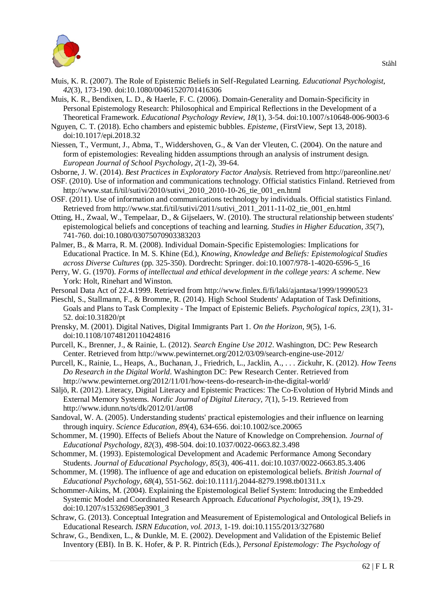

- Muis, K. R. (2007). The Role of Epistemic Beliefs in Self-Regulated Learning. *Educational Psychologist, 42*(3), 173-190. doi:10.1080/00461520701416306
- Muis, K. R., Bendixen, L. D., & Haerle, F. C. (2006). Domain-Generality and Domain-Specificity in Personal Epistemology Research: Philosophical and Empirical Reflections in the Development of a Theoretical Framework. *Educational Psychology Review, 18*(1), 3-54. doi:10.1007/s10648-006-9003-6
- Nguyen, C. T. (2018). Echo chambers and epistemic bubbles. *Episteme,* (FirstView, Sept 13, 2018). doi:10.1017/epi.2018.32
- Niessen, T., Vermunt, J., Abma, T., Widdershoven, G., & Van der Vleuten, C. (2004). On the nature and form of epistemologies: Revealing hidden assumptions through an analysis of instrument design. *European Journal of School Psychology, 2*(1-2), 39-64.
- Osborne, J. W. (2014). *Best Practices in Exploratory Factor Analysis.* Retrieved from http://pareonline.net/
- OSF. (2010). Use of information and communications technology. Official statistics Finland. Retrieved from http://www.stat.fi/til/sutivi/2010/sutivi\_2010\_2010-10-26\_tie\_001\_en.html
- OSF. (2011). Use of information and communications technology by individuals. Official statistics Finland. Retrieved from http://www.stat.fi/til/sutivi/2011/sutivi 2011 2011-11-02 tie 001 en.html
- Otting, H., Zwaal, W., Tempelaar, D., & Gijselaers, W. (2010). The structural relationship between students' epistemological beliefs and conceptions of teaching and learning. *Studies in Higher Education, 35*(7), 741-760. doi:10.1080/03075070903383203
- Palmer, B., & Marra, R. M. (2008). Individual Domain-Specific Epistemologies: Implications for Educational Practice. In M. S. Khine (Ed.), *Knowing, Knowledge and Beliefs: Epistemological Studies across Diverse Cultures* (pp. 325-350). Dordrecht: Springer. doi:10.1007/978-1-4020-6596-5\_16
- Perry, W. G. (1970). *Forms of intellectual and ethical development in the college years: A scheme*. New York: Holt, Rinehart and Winston.
- Personal Data Act of 22.4.1999. Retrieved from http://www.finlex.fi/fi/laki/ajantasa/1999/19990523
- Pieschl, S., Stallmann, F., & Bromme, R. (2014). High School Students' Adaptation of Task Definitions, Goals and Plans to Task Complexity - The Impact of Epistemic Beliefs. *Psychological topics, 23*(1), 31- 52. doi:10.31820/pt
- Prensky, M. (2001). Digital Natives, Digital Immigrants Part 1. *On the Horizon, 9*(5), 1-6. doi:10.1108/10748120110424816
- Purcell, K., Brenner, J., & Rainie, L. (2012). *Search Engine Use 2012*. Washington, DC: Pew Research Center. Retrieved from http://www.pewinternet.org/2012/03/09/search-engine-use-2012/
- Purcell, K., Rainie, L., Heaps, A., Buchanan, J., Friedrich, L., Jacklin, A., . . . Zickuhr, K. (2012). *How Teens Do Research in the Digital World*. Washington DC: Pew Research Center. Retrieved from http://www.pewinternet.org/2012/11/01/how-teens-do-research-in-the-digital-world/
- Säljö, R. (2012). Literacy, Digital Literacy and Epistemic Practices: The Co-Evolution of Hybrid Minds and External Memory Systems. *Nordic Journal of Digital Literacy, 7*(1), 5-19. Retrieved from http://www.idunn.no/ts/dk/2012/01/art08
- Sandoval, W. A. (2005). Understanding students' practical epistemologies and their influence on learning through inquiry. *Science Education, 89*(4), 634-656. doi:10.1002/sce.20065
- Schommer, M. (1990). Effects of Beliefs About the Nature of Knowledge on Comprehension. *Journal of Educational Psychology, 82*(3), 498-504. doi:10.1037/0022-0663.82.3.498
- Schommer, M. (1993). Epistemological Development and Academic Performance Among Secondary Students. *Journal of Educational Psychology, 85*(3), 406-411. doi:10.1037/0022-0663.85.3.406
- Schommer, M. (1998). The influence of age and education on epistemological beliefs. *British Journal of Educational Psychology, 68*(4), 551-562. doi:10.1111/j.2044-8279.1998.tb01311.x
- Schommer-Aikins, M. (2004). Explaining the Epistemological Belief System: Introducing the Embedded Systemic Model and Coordinated Research Approach. *Educational Psychologist, 39*(1), 19-29. doi:10.1207/s15326985ep3901\_3
- Schraw, G. (2013). Conceptual Integration and Measurement of Epistemological and Ontological Beliefs in Educational Research. *ISRN Education, vol. 2013,* 1-19. doi:10.1155/2013/327680
- Schraw, G., Bendixen, L., & Dunkle, M. E. (2002). Development and Validation of the Epistemic Belief Inventory (EBI). In B. K. Hofer, & P. R. Pintrich (Eds.), *Personal Epistemology: The Psychology of*